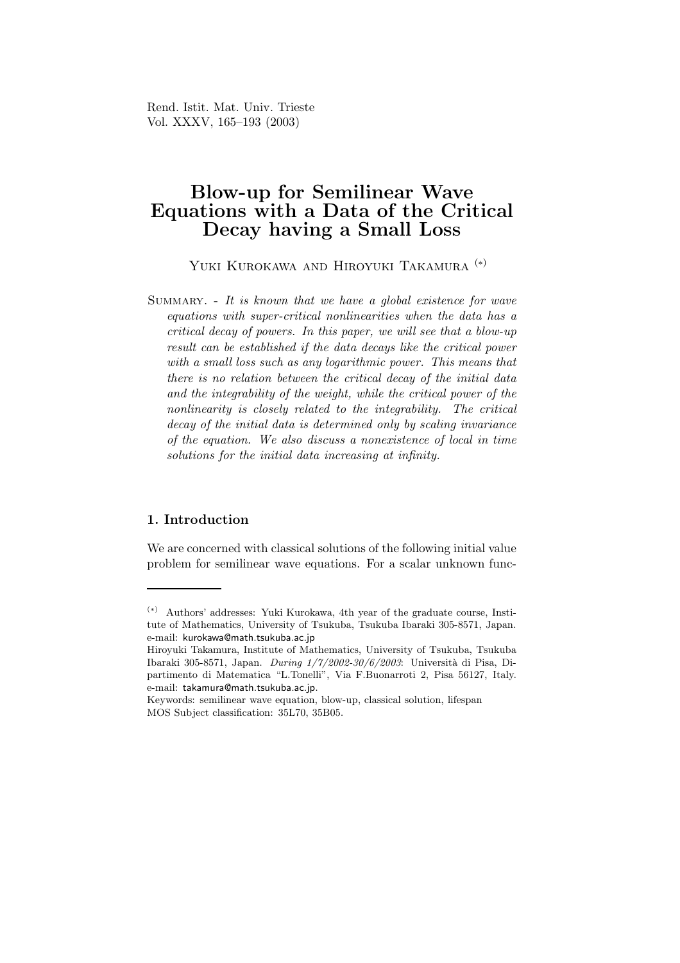Rend. Istit. Mat. Univ. Trieste Vol. XXXV, 165–193 (2003)

# Blow-up for Semilinear Wave Equations with a Data of the Critical Decay having a Small Loss

Yuki Kurokawa and Hiroyuki Takamura (∗)

SUMMARY.  $-$  It is known that we have a global existence for wave equations with super-critical nonlinearities when the data has a critical decay of powers. In this paper, we will see that a blow-up result can be established if the data decays like the critical power with a small loss such as any logarithmic power. This means that there is no relation between the critical decay of the initial data and the integrability of the weight, while the critical power of the nonlinearity is closely related to the integrability. The critical decay of the initial data is determined only by scaling invariance of the equation. We also discuss a nonexistence of local in time solutions for the initial data increasing at infinity.

# 1. Introduction

We are concerned with classical solutions of the following initial value problem for semilinear wave equations. For a scalar unknown func-

<sup>(</sup>∗) Authors' addresses: Yuki Kurokawa, 4th year of the graduate course, Institute of Mathematics, University of Tsukuba, Tsukuba Ibaraki 305-8571, Japan. e-mail: kurokawa@math.tsukuba.ac.jp

Hiroyuki Takamura, Institute of Mathematics, University of Tsukuba, Tsukuba Ibaraki 305-8571, Japan. During 1/7/2002-30/6/2003: Università di Pisa, Dipartimento di Matematica "L.Tonelli", Via F.Buonarroti 2, Pisa 56127, Italy. e-mail: takamura@math.tsukuba.ac.jp.

Keywords: semilinear wave equation, blow-up, classical solution, lifespan MOS Subject classification: 35L70, 35B05.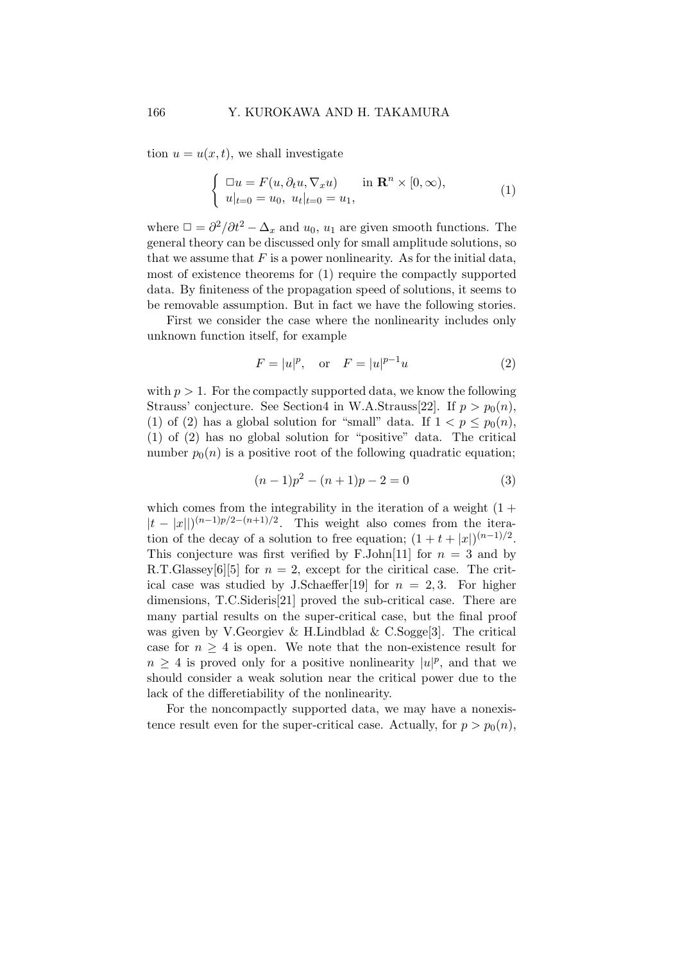tion  $u = u(x, t)$ , we shall investigate

$$
\begin{cases} \n\Box u = F(u, \partial_t u, \nabla_x u) & \text{in } \mathbf{R}^n \times [0, \infty), \\ \nu|_{t=0} = u_0, \ u_t|_{t=0} = u_1, \n\end{cases}
$$
\n(1)

where  $\Box = \frac{\partial^2}{\partial t^2} - \Delta_x$  and  $u_0$ ,  $u_1$  are given smooth functions. The general theory can be discussed only for small amplitude solutions, so that we assume that  $F$  is a power nonlinearity. As for the initial data, most of existence theorems for (1) require the compactly supported data. By finiteness of the propagation speed of solutions, it seems to be removable assumption. But in fact we have the following stories.

First we consider the case where the nonlinearity includes only unknown function itself, for example

$$
F = |u|^p
$$
, or  $F = |u|^{p-1}u$  (2)

with  $p > 1$ . For the compactly supported data, we know the following Strauss' conjecture. See Section4 in W.A.Strauss[22]. If  $p > p_0(n)$ , (1) of (2) has a global solution for "small" data. If  $1 < p \leq p_0(n)$ , (1) of (2) has no global solution for "positive" data. The critical number  $p_0(n)$  is a positive root of the following quadratic equation;

$$
(n-1)p^2 - (n+1)p - 2 = 0 \tag{3}
$$

which comes from the integrability in the iteration of a weight  $(1 +$  $|t - |x|||^{(n-1)p/2-(n+1)/2}$ . This weight also comes from the iteration of the decay of a solution to free equation;  $(1 + t + |x|)^{(n-1)/2}$ . This conjecture was first verified by F.John[11] for  $n = 3$  and by R.T.Glassey[6][5] for  $n = 2$ , except for the ciritical case. The critical case was studied by J.Schaeffer[19] for  $n = 2, 3$ . For higher dimensions, T.C.Sideris[21] proved the sub-critical case. There are many partial results on the super-critical case, but the final proof was given by V.Georgiev & H.Lindblad & C.Sogge[3]. The critical case for  $n \geq 4$  is open. We note that the non-existence result for  $n \geq 4$  is proved only for a positive nonlinearity  $|u|^p$ , and that we should consider a weak solution near the critical power due to the lack of the differetiability of the nonlinearity.

For the noncompactly supported data, we may have a nonexistence result even for the super-critical case. Actually, for  $p > p_0(n)$ ,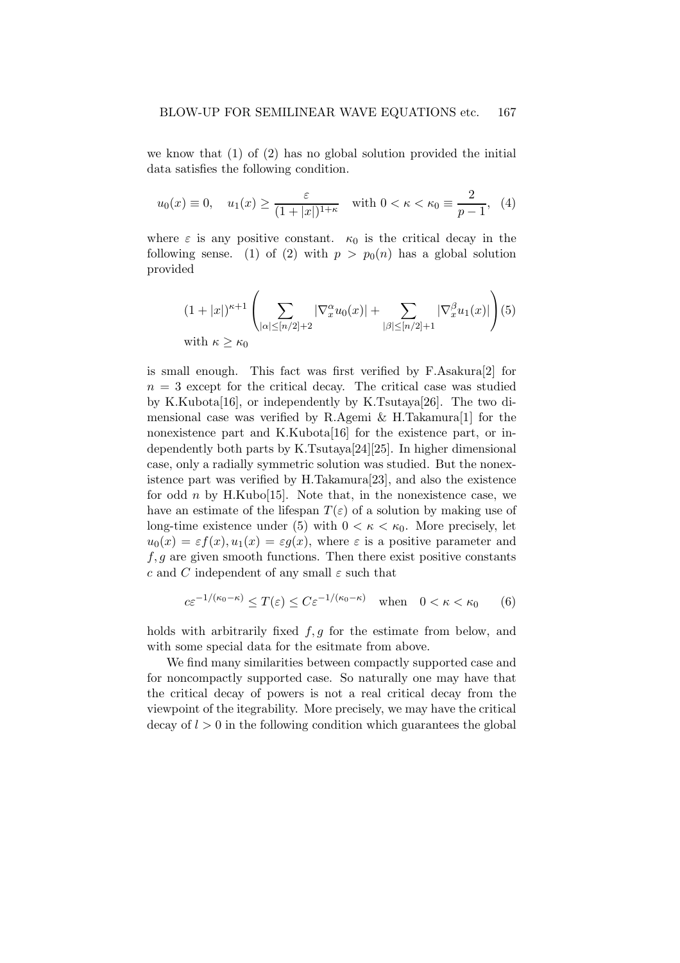we know that (1) of (2) has no global solution provided the initial data satisfies the following condition.

$$
u_0(x) \equiv 0
$$
,  $u_1(x) \ge \frac{\varepsilon}{(1+|x|)^{1+\kappa}}$  with  $0 < \kappa < \kappa_0 \equiv \frac{2}{p-1}$ , (4)

where  $\varepsilon$  is any positive constant.  $\kappa_0$  is the critical decay in the following sense. (1) of (2) with  $p > p_0(n)$  has a global solution provided

$$
(1+|x|)^{\kappa+1} \left(\sum_{|\alpha| \leq [n/2]+2} |\nabla_x^{\alpha} u_0(x)| + \sum_{|\beta| \leq [n/2]+1} |\nabla_x^{\beta} u_1(x)|\right) (5)
$$
  
with  $\kappa \geq \kappa_0$ 

is small enough. This fact was first verified by F.Asakura[2] for  $n = 3$  except for the critical decay. The critical case was studied by K.Kubota[16], or independently by K.Tsutaya[26]. The two dimensional case was verified by R.Agemi & H.Takamura[1] for the nonexistence part and K.Kubota[16] for the existence part, or independently both parts by K.Tsutaya[24][25]. In higher dimensional case, only a radially symmetric solution was studied. But the nonexistence part was verified by H.Takamura[23], and also the existence for odd *n* by H.Kubo[15]. Note that, in the nonexistence case, we have an estimate of the lifespan  $T(\varepsilon)$  of a solution by making use of long-time existence under (5) with  $0 < \kappa < \kappa_0$ . More precisely, let  $u_0(x) = \varepsilon f(x), u_1(x) = \varepsilon g(x)$ , where  $\varepsilon$  is a positive parameter and  $f, g$  are given smooth functions. Then there exist positive constants c and C independent of any small  $\varepsilon$  such that

$$
c\varepsilon^{-1/(\kappa_0-\kappa)} \le T(\varepsilon) \le C\varepsilon^{-1/(\kappa_0-\kappa)} \quad \text{when} \quad 0 < \kappa < \kappa_0 \qquad (6)
$$

holds with arbitrarily fixed  $f, g$  for the estimate from below, and with some special data for the esitmate from above.

We find many similarities between compactly supported case and for noncompactly supported case. So naturally one may have that the critical decay of powers is not a real critical decay from the viewpoint of the itegrability. More precisely, we may have the critical  $\gamma$  decay of  $l > 0$  in the following condition which guarantees the global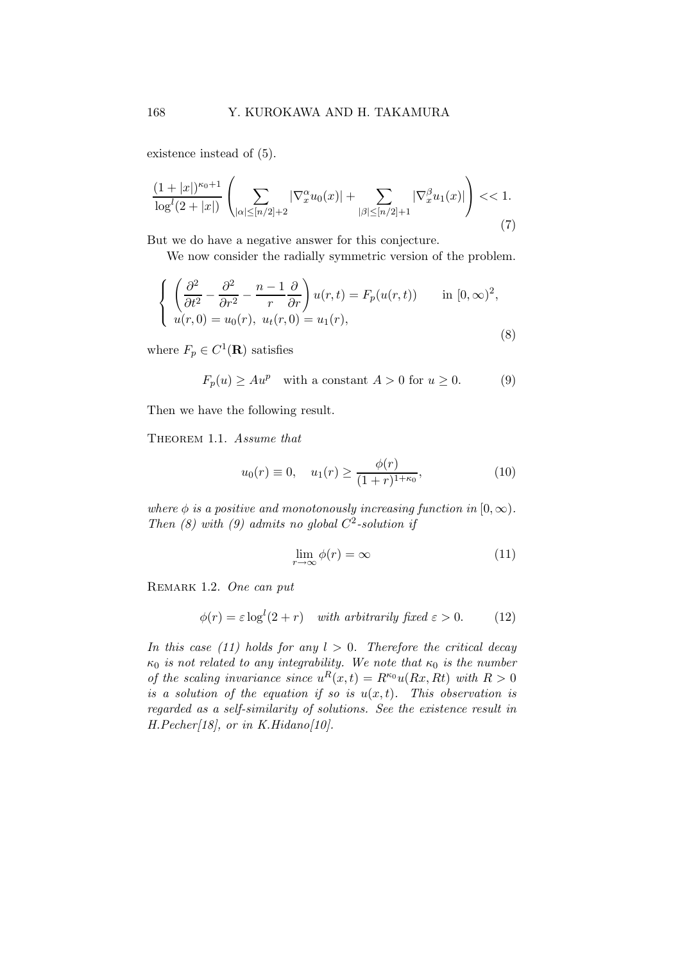existence instead of (5).

$$
\frac{(1+|x|)^{\kappa_0+1}}{\log^l(2+|x|)}\left(\sum_{|\alpha|\leq [n/2]+2} |\nabla_x^{\alpha} u_0(x)|+\sum_{|\beta|\leq [n/2]+1} |\nabla_x^{\beta} u_1(x)|\right) << 1.
$$
\n(7)

But we do have a negative answer for this conjecture.

We now consider the radially symmetric version of the problem.

$$
\begin{cases}\n\left(\frac{\partial^2}{\partial t^2} - \frac{\partial^2}{\partial r^2} - \frac{n-1}{r} \frac{\partial}{\partial r}\right) u(r,t) = F_p(u(r,t)) & \text{in } [0,\infty)^2, \\
u(r,0) = u_0(r), \ u_t(r,0) = u_1(r),\n\end{cases}
$$
\n(8)

where  $F_p \in C^1(\mathbf{R})$  satisfies

$$
F_p(u) \ge A u^p \quad \text{with a constant } A > 0 \text{ for } u \ge 0. \tag{9}
$$

Then we have the following result.

THEOREM 1.1. Assume that

$$
u_0(r) \equiv 0, \quad u_1(r) \ge \frac{\phi(r)}{(1+r)^{1+\kappa_0}},\tag{10}
$$

where  $\phi$  is a positive and monotonously increasing function in  $[0, \infty)$ . Then (8) with (9) admits no global  $C^2$ -solution if

$$
\lim_{r \to \infty} \phi(r) = \infty \tag{11}
$$

REMARK 1.2. One can put

$$
\phi(r) = \varepsilon \log^{l}(2+r) \quad \text{with arbitrarily fixed } \varepsilon > 0. \tag{12}
$$

In this case (11) holds for any  $l > 0$ . Therefore the critical decay  $\kappa_0$  is not related to any integrability. We note that  $\kappa_0$  is the number of the scaling invariance since  $u^R(x,t) = R^{\kappa_0} u(Rx, Rt)$  with  $R > 0$ is a solution of the equation if so is  $u(x,t)$ . This observation is regarded as a self-similarity of solutions. See the existence result in  $H.Pecher[18]$ , or in  $K.Hidano[10]$ .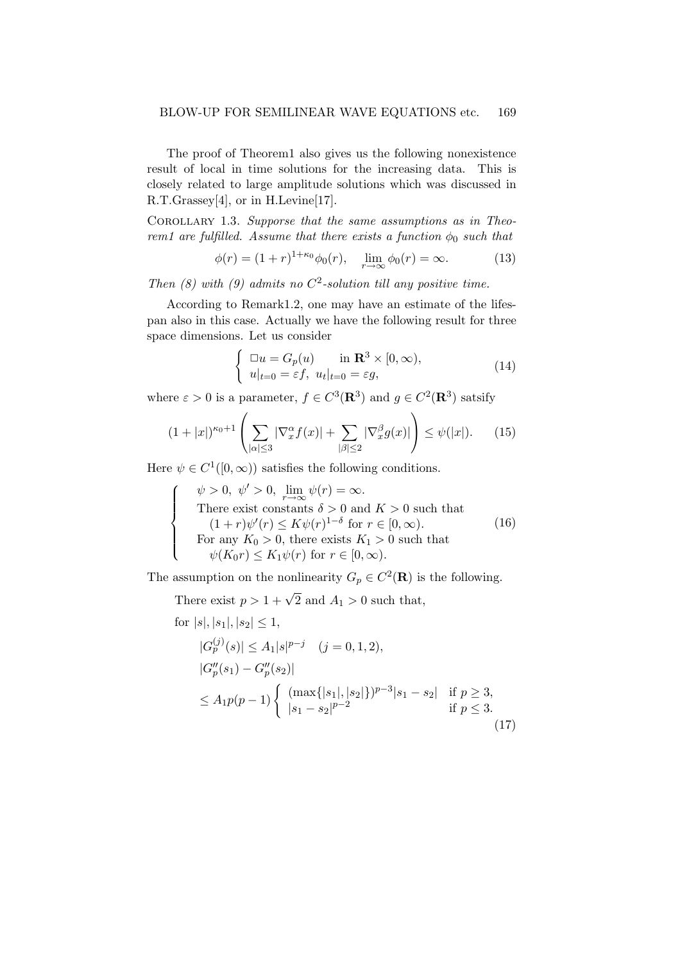The proof of Theorem1 also gives us the following nonexistence result of local in time solutions for the increasing data. This is closely related to large amplitude solutions which was discussed in R.T.Grassey[4], or in H.Levine[17].

Corollary 1.3. Supporse that the same assumptions as in Theorem1 are fulfilled. Assume that there exists a function  $\phi_0$  such that

$$
\phi(r) = (1+r)^{1+\kappa_0} \phi_0(r), \quad \lim_{r \to \infty} \phi_0(r) = \infty.
$$
 (13)

Then (8) with (9) admits no  $C^2$ -solution till any positive time.

According to Remark1.2, one may have an estimate of the lifespan also in this case. Actually we have the following result for three space dimensions. Let us consider

$$
\begin{cases} \Box u = G_p(u) & \text{in } \mathbf{R}^3 \times [0, \infty), \\ u|_{t=0} = \varepsilon f, \ u_t|_{t=0} = \varepsilon g, \end{cases}
$$
 (14)

where  $\varepsilon > 0$  is a parameter,  $f \in C^3(\mathbf{R}^3)$  and  $g \in C^2(\mathbf{R}^3)$  satsify

$$
(1+|x|)^{\kappa_0+1}\left(\sum_{|\alpha|\leq 3}|\nabla_x^{\alpha}f(x)|+\sum_{|\beta|\leq 2}|\nabla_x^{\beta}g(x)|\right)\leq \psi(|x|). \qquad (15)
$$

Here  $\psi \in C^1([0,\infty))$  satisfies the following conditions.

$$
\begin{cases}\n\psi > 0, \ \psi' > 0, \ \lim_{r \to \infty} \psi(r) = \infty. \\
\text{There exist constants } \delta > 0 \text{ and } K > 0 \text{ such that} \\
(1+r)\psi'(r) \le K\psi(r)^{1-\delta} \text{ for } r \in [0, \infty). \\
\text{For any } K_0 > 0, \text{ there exists } K_1 > 0 \text{ such that} \\
\psi(K_0 r) \le K_1 \psi(r) \text{ for } r \in [0, \infty).\n\end{cases}
$$
\n(16)

The assumption on the nonlinearity  $G_p \in C^2(\mathbf{R})$  is the following.

There exist  $p > 1 + \sqrt{2}$  and  $A_1 > 0$  such that,

for 
$$
|s|, |s_1|, |s_2| \le 1
$$
,  
\n $|G_p^{(j)}(s)| \le A_1 |s|^{p-j}$   $(j = 0, 1, 2)$ ,  
\n $|G_p''(s_1) - G_p''(s_2)|$   
\n $\le A_1 p(p-1) \begin{cases} (\max\{|s_1|, |s_2|\})^{p-3} |s_1 - s_2| & \text{if } p \ge 3, \\ |s_1 - s_2|^{p-2} & \text{if } p \le 3. \end{cases}$  (17)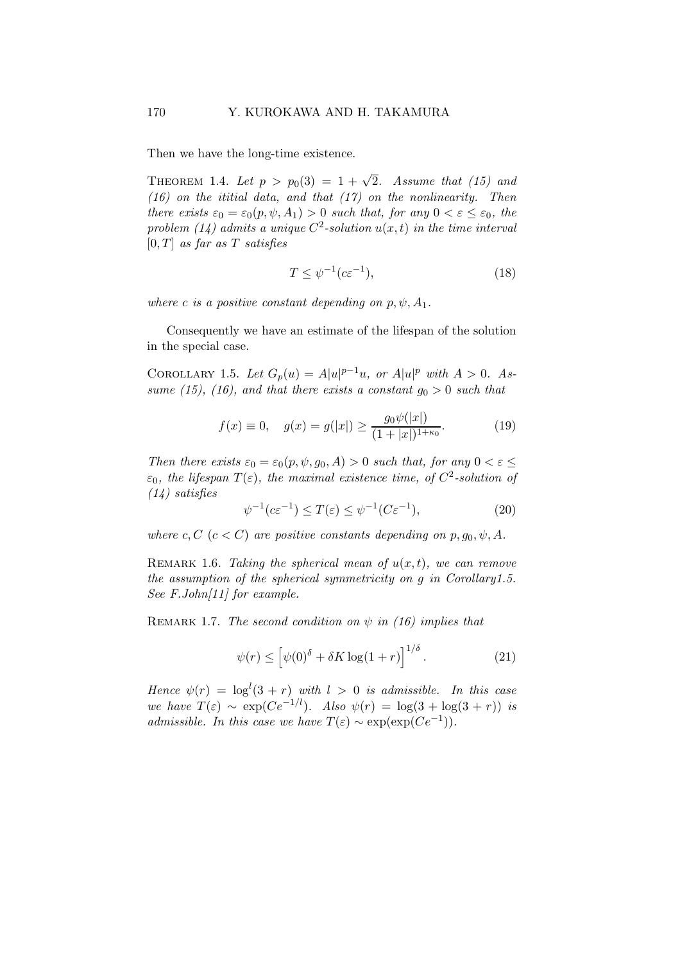Then we have the long-time existence.

THEOREM 1.4. Let  $p > p_0(3) = 1 + \sqrt{2}$ . Assume that (15) and  $(16)$  on the ititial data, and that  $(17)$  on the nonlinearity. Then there exists  $\varepsilon_0 = \varepsilon_0(p, \psi, A_1) > 0$  such that, for any  $0 < \varepsilon \leq \varepsilon_0$ , the problem (14) admits a unique  $C^2$ -solution  $u(x,t)$  in the time interval  $[0, T]$  as far as T satisfies

$$
T \le \psi^{-1}(c\varepsilon^{-1}),\tag{18}
$$

where c is a positive constant depending on  $p, \psi, A_1$ .

Consequently we have an estimate of the lifespan of the solution in the special case.

COROLLARY 1.5. Let  $G_p(u) = A|u|^{p-1}u$ , or  $A|u|^p$  with  $A > 0$ . Assume (15), (16), and that there exists a constant  $g_0 > 0$  such that

$$
f(x) \equiv 0, \quad g(x) = g(|x|) \ge \frac{g_0 \psi(|x|)}{(1+|x|)^{1+\kappa_0}}.\tag{19}
$$

Then there exists  $\varepsilon_0 = \varepsilon_0(p, \psi, g_0, A) > 0$  such that, for any  $0 < \varepsilon \leq$  $\varepsilon_0$ , the lifespan  $T(\varepsilon)$ , the maximal existence time, of  $C^2$ -solution of (14) satisfies

$$
\psi^{-1}(c\varepsilon^{-1}) \le T(\varepsilon) \le \psi^{-1}(C\varepsilon^{-1}),\tag{20}
$$

where c,  $C$  ( $c < C$ ) are positive constants depending on  $p, g_0, \psi, A$ .

REMARK 1.6. Taking the spherical mean of  $u(x,t)$ , we can remove the assumption of the spherical symmetricity on g in Corollary1.5. See  $F.John/11$  for example.

REMARK 1.7. The second condition on  $\psi$  in (16) implies that

$$
\psi(r) \le \left[ \psi(0)^{\delta} + \delta K \log(1+r) \right]^{1/\delta}.
$$
 (21)

Hence  $\psi(r) = \log^{l}(3+r)$  with  $l > 0$  is admissible. In this case we have  $T(\varepsilon) \sim \exp(Ce^{-1/l})$ . Also  $\psi(r) = \log(3 + \log(3 + r))$  is admissible. In this case we have  $T(\varepsilon) \sim \exp(\exp(Ce^{-1}))$ .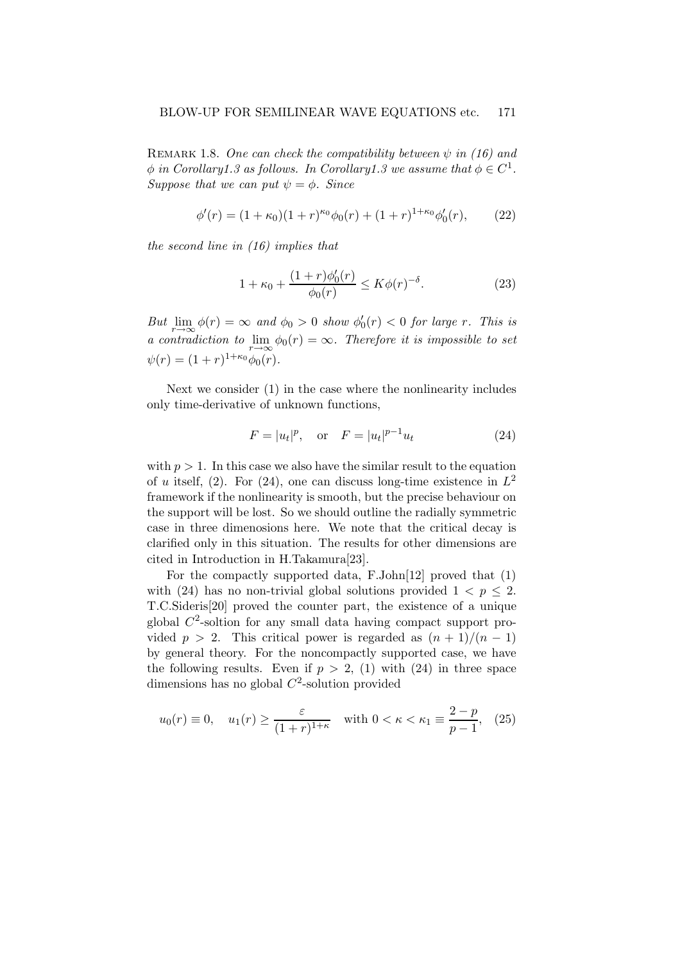REMARK 1.8. One can check the compatibility between  $\psi$  in (16) and  $\phi$  in Corollary1.3 as follows. In Corollary1.3 we assume that  $\phi \in C^1$ . Suppose that we can put  $\psi = \phi$ . Since

$$
\phi'(r) = (1 + \kappa_0)(1 + r)^{\kappa_0}\phi_0(r) + (1 + r)^{1 + \kappa_0}\phi'_0(r), \qquad (22)
$$

the second line in (16) implies that

$$
1 + \kappa_0 + \frac{(1+r)\phi_0'(r)}{\phi_0(r)} \le K\phi(r)^{-\delta}.
$$
 (23)

But  $\lim_{r \to \infty} \phi(r) = \infty$  and  $\phi_0 > 0$  show  $\phi'_0(r) < 0$  for large r. This is a contradiction to  $\lim_{r \to \infty} \phi_0(r) = \infty$ . Therefore it is impossible to set  $\psi(r) = (1+r)^{1+\kappa_0} \phi_0(r).$ 

Next we consider (1) in the case where the nonlinearity includes only time-derivative of unknown functions,

$$
F = |u_t|^p
$$
, or  $F = |u_t|^{p-1}u_t$  (24)

with  $p > 1$ . In this case we also have the similar result to the equation of u itself, (2). For (24), one can discuss long-time existence in  $L^2$ framework if the nonlinearity is smooth, but the precise behaviour on the support will be lost. So we should outline the radially symmetric case in three dimenosions here. We note that the critical decay is clarified only in this situation. The results for other dimensions are cited in Introduction in H.Takamura[23].

For the compactly supported data, F.John[12] proved that (1) with (24) has no non-trivial global solutions provided  $1 < p \leq 2$ . T.C.Sideris[20] proved the counter part, the existence of a unique global  $C^2$ -soltion for any small data having compact support provided  $p > 2$ . This critical power is regarded as  $(n + 1)/(n - 1)$ by general theory. For the noncompactly supported case, we have the following results. Even if  $p > 2$ , (1) with (24) in three space dimensions has no global  $C^2$ -solution provided

$$
u_0(r) \equiv 0, \quad u_1(r) \ge \frac{\varepsilon}{(1+r)^{1+\kappa}} \quad \text{with } 0 < \kappa < \kappa_1 \equiv \frac{2-p}{p-1}, \tag{25}
$$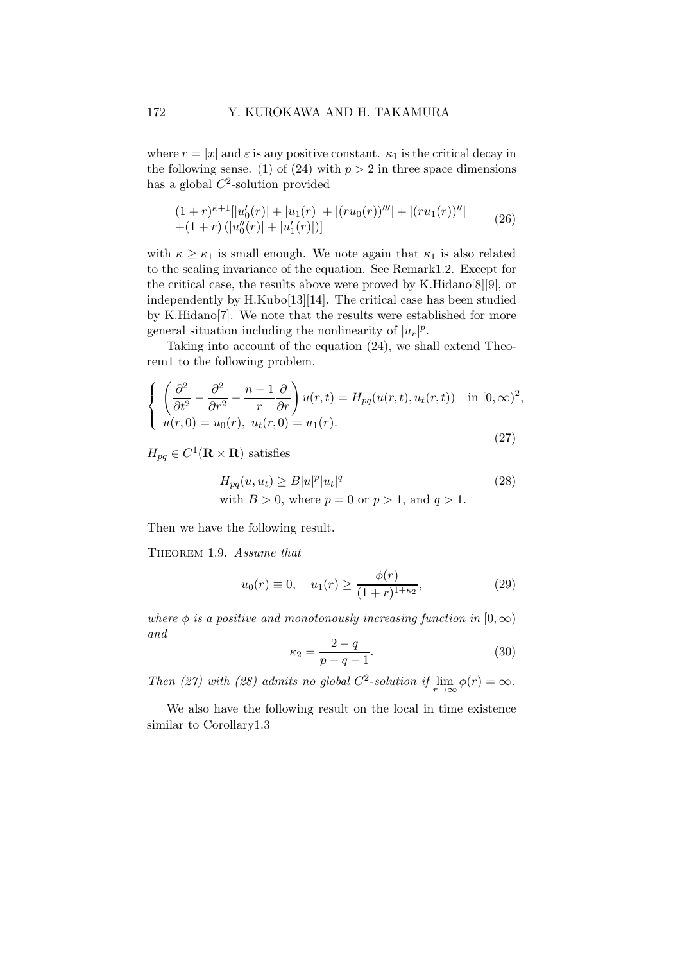where  $r = |x|$  and  $\varepsilon$  is any positive constant.  $\kappa_1$  is the critical decay in the following sense. (1) of (24) with  $p > 2$  in three space dimensions has a global  $C^2$ -solution provided

$$
(1+r)^{\kappa+1}[|u'_0(r)|+|u_1(r)|+|(ru_0(r))^{\prime\prime\prime}|+|(ru_1(r))^{\prime\prime}|+(1+r)(|u''_0(r)|+|u'_1(r)|)]
$$
\n(26)

with  $\kappa \geq \kappa_1$  is small enough. We note again that  $\kappa_1$  is also related to the scaling invariance of the equation. See Remark1.2. Except for the critical case, the results above were proved by K.Hidano[8][9], or independently by H.Kubo[13][14]. The critical case has been studied by K.Hidano[7]. We note that the results were established for more general situation including the nonlinearity of  $|u_r|^p$ .

Taking into account of the equation (24), we shall extend Theorem1 to the following problem.

$$
\begin{cases}\n\left(\frac{\partial^2}{\partial t^2} - \frac{\partial^2}{\partial r^2} - \frac{n-1}{r} \frac{\partial}{\partial r}\right) u(r,t) = H_{pq}(u(r,t), u_t(r,t)) & \text{in } [0, \infty)^2, \\
u(r,0) = u_0(r), u_t(r,0) = u_1(r).\n\end{cases}
$$
\n(27)

 $H_{pq} \in C^1(\mathbf{R} \times \mathbf{R})$  satisfies

$$
H_{pq}(u, u_t) \ge B|u|^p |u_t|^q
$$
  
with  $B > 0$ , where  $p = 0$  or  $p > 1$ , and  $q > 1$ . (28)

Then we have the following result.

THEOREM 1.9. Assume that

$$
u_0(r) \equiv 0, \quad u_1(r) \ge \frac{\phi(r)}{(1+r)^{1+\kappa_2}},\tag{29}
$$

where  $\phi$  is a positive and monotonously increasing function in  $[0, \infty)$ and

$$
\kappa_2 = \frac{2-q}{p+q-1}.\tag{30}
$$

Then (27) with (28) admits no global  $C^2$ -solution if  $\lim_{r \to \infty} \phi(r) = \infty$ .

We also have the following result on the local in time existence similar to Corollary1.3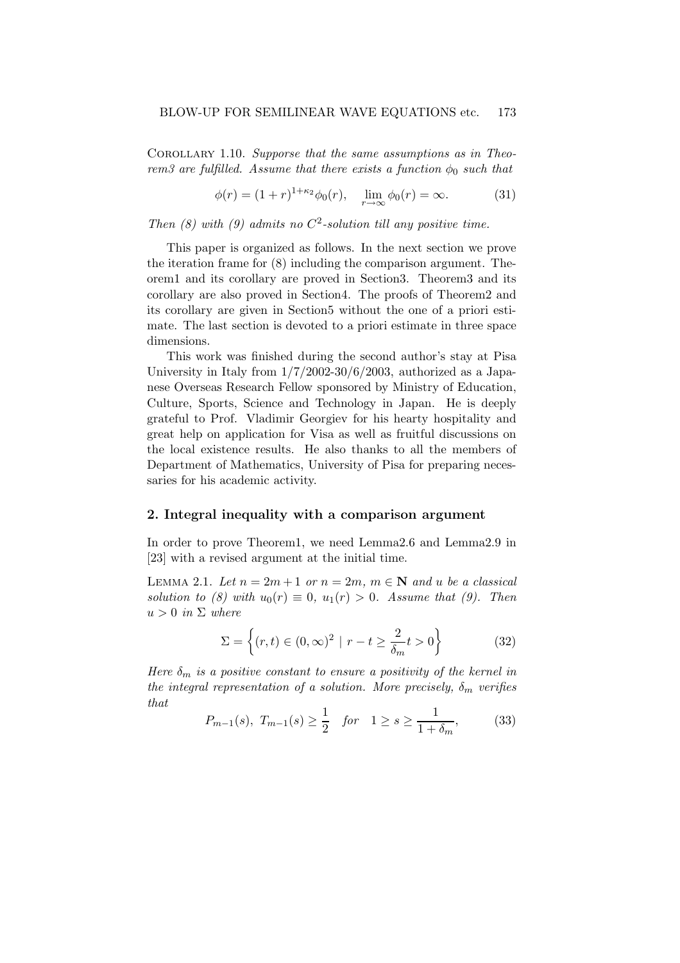COROLLARY 1.10. Supporse that the same assumptions as in Theorem3 are fulfilled. Assume that there exists a function  $\phi_0$  such that

$$
\phi(r) = (1+r)^{1+\kappa_2} \phi_0(r), \quad \lim_{r \to \infty} \phi_0(r) = \infty.
$$
 (31)

Then (8) with (9) admits no  $C^2$ -solution till any positive time.

This paper is organized as follows. In the next section we prove the iteration frame for (8) including the comparison argument. Theorem1 and its corollary are proved in Section3. Theorem3 and its corollary are also proved in Section4. The proofs of Theorem2 and its corollary are given in Section5 without the one of a priori estimate. The last section is devoted to a priori estimate in three space dimensions.

This work was finished during the second author's stay at Pisa University in Italy from 1/7/2002-30/6/2003, authorized as a Japanese Overseas Research Fellow sponsored by Ministry of Education, Culture, Sports, Science and Technology in Japan. He is deeply grateful to Prof. Vladimir Georgiev for his hearty hospitality and great help on application for Visa as well as fruitful discussions on the local existence results. He also thanks to all the members of Department of Mathematics, University of Pisa for preparing necessaries for his academic activity.

## 2. Integral inequality with a comparison argument

In order to prove Theorem1, we need Lemma2.6 and Lemma2.9 in [23] with a revised argument at the initial time.

LEMMA 2.1. Let  $n = 2m + 1$  or  $n = 2m$ ,  $m \in \mathbb{N}$  and u be a classical solution to (8) with  $u_0(r) \equiv 0$ ,  $u_1(r) > 0$ . Assume that (9). Then  $u > 0$  in  $\Sigma$  where

$$
\Sigma = \left\{ (r, t) \in (0, \infty)^2 \mid r - t \ge \frac{2}{\delta_m} t > 0 \right\}
$$
 (32)

Here  $\delta_m$  is a positive constant to ensure a positivity of the kernel in the integral representation of a solution. More precisely,  $\delta_m$  verifies that

$$
P_{m-1}(s), T_{m-1}(s) \ge \frac{1}{2} \quad \text{for} \quad 1 \ge s \ge \frac{1}{1+\delta_m},
$$
 (33)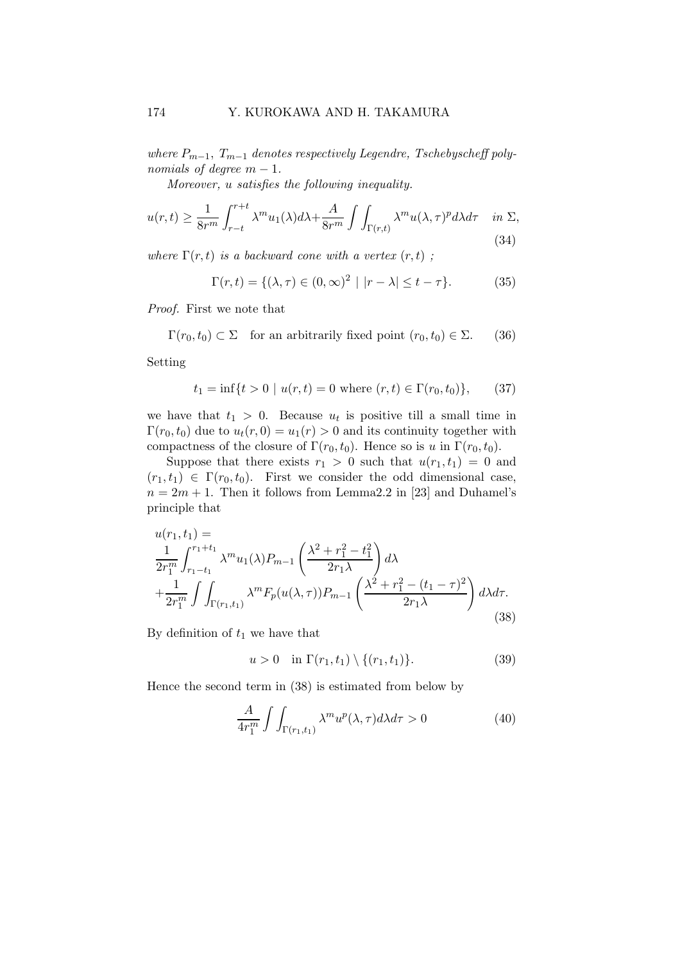where  $P_{m-1}$ ,  $T_{m-1}$  denotes respectively Legendre, Tschebyscheff polynomials of degree  $m-1$ .

Moreover, u satisfies the following inequality.

$$
u(r,t) \ge \frac{1}{8r^m} \int_{r-t}^{r+t} \lambda^m u_1(\lambda) d\lambda + \frac{A}{8r^m} \int \int_{\Gamma(r,t)} \lambda^m u(\lambda,\tau)^p d\lambda d\tau \quad \text{in } \Sigma,
$$
\n(34)

where  $\Gamma(r,t)$  is a backward cone with a vertex  $(r,t)$ ;

$$
\Gamma(r,t) = \{ (\lambda, \tau) \in (0, \infty)^2 \mid |r - \lambda| \le t - \tau \}. \tag{35}
$$

Proof. First we note that

 $\Gamma(r_0,t_0) \subset \Sigma$  for an arbitrarily fixed point  $(r_0,t_0) \in \Sigma$ . (36)

Setting

$$
t_1 = \inf\{t > 0 \mid u(r, t) = 0 \text{ where } (r, t) \in \Gamma(r_0, t_0)\},\qquad(37)
$$

we have that  $t_1 > 0$ . Because  $u_t$  is positive till a small time in  $\Gamma(r_0,t_0)$  due to  $u_t(r,0) = u_1(r) > 0$  and its continuity together with compactness of the closure of  $\Gamma(r_0,t_0)$ . Hence so is u in  $\Gamma(r_0,t_0)$ .

Suppose that there exists  $r_1 > 0$  such that  $u(r_1, t_1) = 0$  and  $(r_1,t_1) \in \Gamma(r_0,t_0)$ . First we consider the odd dimensional case,  $n = 2m + 1$ . Then it follows from Lemma2.2 in [23] and Duhamel's principle that

$$
u(r_1, t_1) =
$$
  
\n
$$
\frac{1}{2r_1^m} \int_{r_1 - t_1}^{r_1 + t_1} \lambda^m u_1(\lambda) P_{m-1} \left( \frac{\lambda^2 + r_1^2 - t_1^2}{2r_1 \lambda} \right) d\lambda
$$
  
\n
$$
+ \frac{1}{2r_1^m} \int \int_{\Gamma(r_1, t_1)} \lambda^m F_p(u(\lambda, \tau)) P_{m-1} \left( \frac{\lambda^2 + r_1^2 - (t_1 - \tau)^2}{2r_1 \lambda} \right) d\lambda d\tau.
$$
\n(38)

By definition of  $t_1$  we have that

$$
u > 0
$$
 in  $\Gamma(r_1, t_1) \setminus \{(r_1, t_1)\}.$  (39)

Hence the second term in (38) is estimated from below by

$$
\frac{A}{4r_1^m} \int \int_{\Gamma(r_1, t_1)} \lambda^m u^p(\lambda, \tau) d\lambda d\tau > 0
$$
\n(40)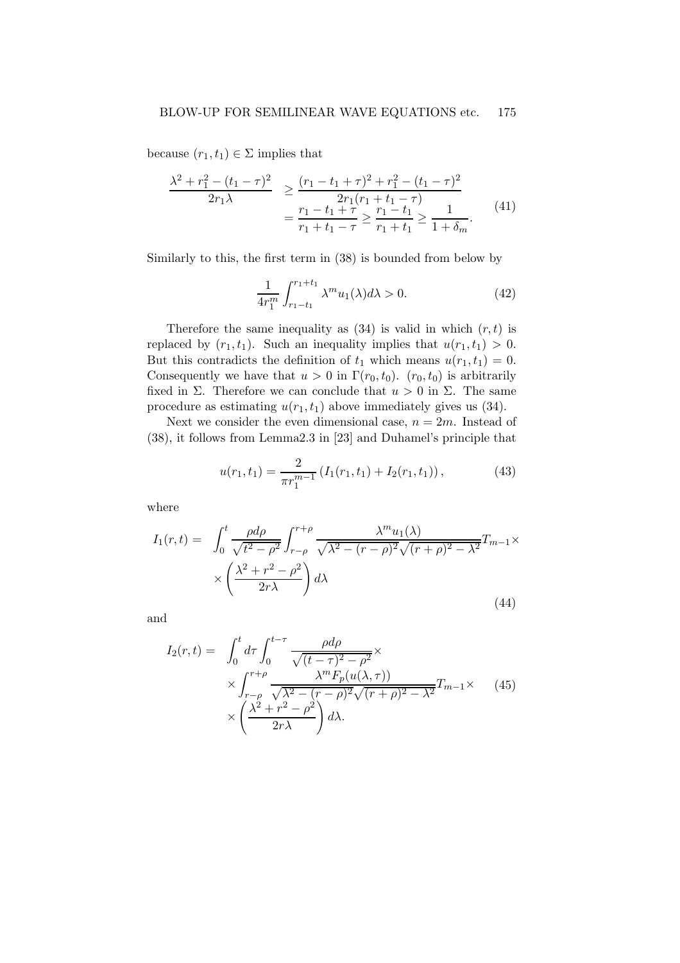because  $(r_1,t_1) \in \Sigma$  implies that

$$
\frac{\lambda^2 + r_1^2 - (t_1 - \tau)^2}{2r_1\lambda} \ge \frac{(r_1 - t_1 + \tau)^2 + r_1^2 - (t_1 - \tau)^2}{2r_1(r_1 + t_1 - \tau)} \n= \frac{r_1 - t_1 + \tau}{r_1 + t_1 - \tau} \ge \frac{r_1 - t_1}{r_1 + t_1} \ge \frac{1}{1 + \delta_m}.
$$
\n(41)

Similarly to this, the first term in (38) is bounded from below by

$$
\frac{1}{4r_1^m} \int_{r_1 - t_1}^{r_1 + t_1} \lambda^m u_1(\lambda) d\lambda > 0.
$$
 (42)

Therefore the same inequality as  $(34)$  is valid in which  $(r, t)$  is replaced by  $(r_1, t_1)$ . Such an inequality implies that  $u(r_1, t_1) > 0$ . But this contradicts the definition of  $t_1$  which means  $u(r_1,t_1) = 0$ . Consequently we have that  $u > 0$  in  $\Gamma(r_0, t_0)$ .  $(r_0, t_0)$  is arbitrarily fixed in  $\Sigma$ . Therefore we can conclude that  $u > 0$  in  $\Sigma$ . The same procedure as estimating  $u(r_1, t_1)$  above immediately gives us (34).

Next we consider the even dimensional case,  $n = 2m$ . Instead of (38), it follows from Lemma2.3 in [23] and Duhamel's principle that

$$
u(r_1, t_1) = \frac{2}{\pi r_1^{m-1}} \left( I_1(r_1, t_1) + I_2(r_1, t_1) \right),\tag{43}
$$

where

$$
I_1(r,t) = \int_0^t \frac{\rho d\rho}{\sqrt{t^2 - \rho^2}} \int_{r-\rho}^{r+\rho} \frac{\lambda^m u_1(\lambda)}{\sqrt{\lambda^2 - (r-\rho)^2} \sqrt{(r+\rho)^2 - \lambda^2}} T_{m-1} \times \times \left(\frac{\lambda^2 + r^2 - \rho^2}{2r\lambda}\right) d\lambda
$$
\n(44)

and

$$
I_2(r,t) = \int_0^t d\tau \int_0^{t-\tau} \frac{\rho d\rho}{\sqrt{(t-\tau)^2 - \rho^2}} \times \times \int_{r-\rho}^{r+\rho} \frac{\lambda^m F_p(u(\lambda,\tau))}{\sqrt{\lambda^2 - (r-\rho)^2} \sqrt{(r+\rho)^2 - \lambda^2}} T_{m-1} \times \times \left(\frac{\lambda^2 + r^2 - \rho^2}{2r\lambda}\right) d\lambda.
$$
 (45)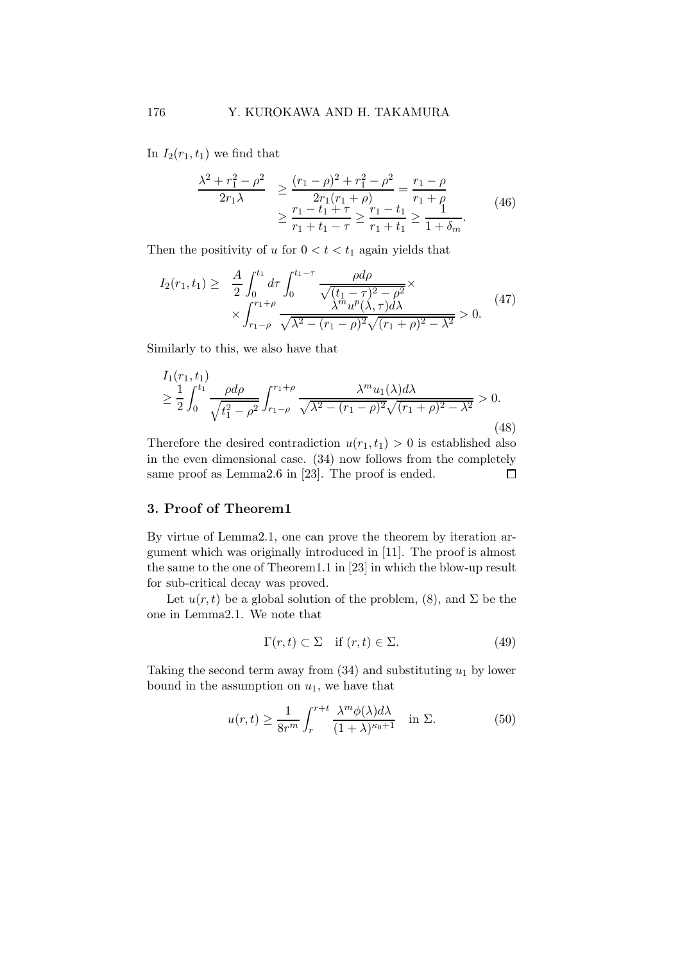In  $I_2(r_1,t_1)$  we find that

$$
\frac{\lambda^2 + r_1^2 - \rho^2}{2r_1\lambda} \ge \frac{(r_1 - \rho)^2 + r_1^2 - \rho^2}{2r_1(r_1 + \rho)} = \frac{r_1 - \rho}{r_1 + \rho} \ge \frac{r_1 - t_1 + \tau}{r_1 + t_1 - \tau} \ge \frac{r_1 - t_1}{r_1 + t_1} \ge \frac{1}{1 + \delta_m}.
$$
\n(46)

Then the positivity of u for  $0 < t < t_1$  again yields that

$$
I_2(r_1, t_1) \geq \frac{A}{2} \int_0^{t_1} d\tau \int_0^{t_1 - \tau} \frac{\rho d\rho}{\sqrt{(t_1 - \tau)^2 - \rho^2}} \times \\ \times \int_{r_1 - \rho}^{r_1 + \rho} \frac{\lambda^m u^p(\lambda, \tau) d\lambda}{\sqrt{\lambda^2 - (r_1 - \rho)^2} \sqrt{(r_1 + \rho)^2 - \lambda^2}} > 0. \tag{47}
$$

Similarly to this, we also have that

$$
I_1(r_1, t_1)
$$
  
\n
$$
\geq \frac{1}{2} \int_0^{t_1} \frac{\rho d\rho}{\sqrt{t_1^2 - \rho^2}} \int_{r_1 - \rho}^{r_1 + \rho} \frac{\lambda^m u_1(\lambda) d\lambda}{\sqrt{\lambda^2 - (r_1 - \rho)^2} \sqrt{(r_1 + \rho)^2 - \lambda^2}} > 0.
$$
\n(48)

Therefore the desired contradiction  $u(r_1,t_1) > 0$  is established also in the even dimensional case. (34) now follows from the completely same proof as Lemma2.6 in [23]. The proof is ended.  $\Box$ 

# 3. Proof of Theorem1

By virtue of Lemma2.1, one can prove the theorem by iteration argument which was originally introduced in [11]. The proof is almost the same to the one of Theorem1.1 in [23] in which the blow-up result for sub-critical decay was proved.

Let  $u(r, t)$  be a global solution of the problem, (8), and  $\Sigma$  be the one in Lemma2.1. We note that

$$
\Gamma(r,t) \subset \Sigma \quad \text{if } (r,t) \in \Sigma. \tag{49}
$$

Taking the second term away from  $(34)$  and substituting  $u_1$  by lower bound in the assumption on  $u_1$ , we have that

$$
u(r,t) \ge \frac{1}{8r^m} \int_r^{r+t} \frac{\lambda^m \phi(\lambda) d\lambda}{(1+\lambda)^{\kappa_0+1}} \quad \text{in } \Sigma.
$$
 (50)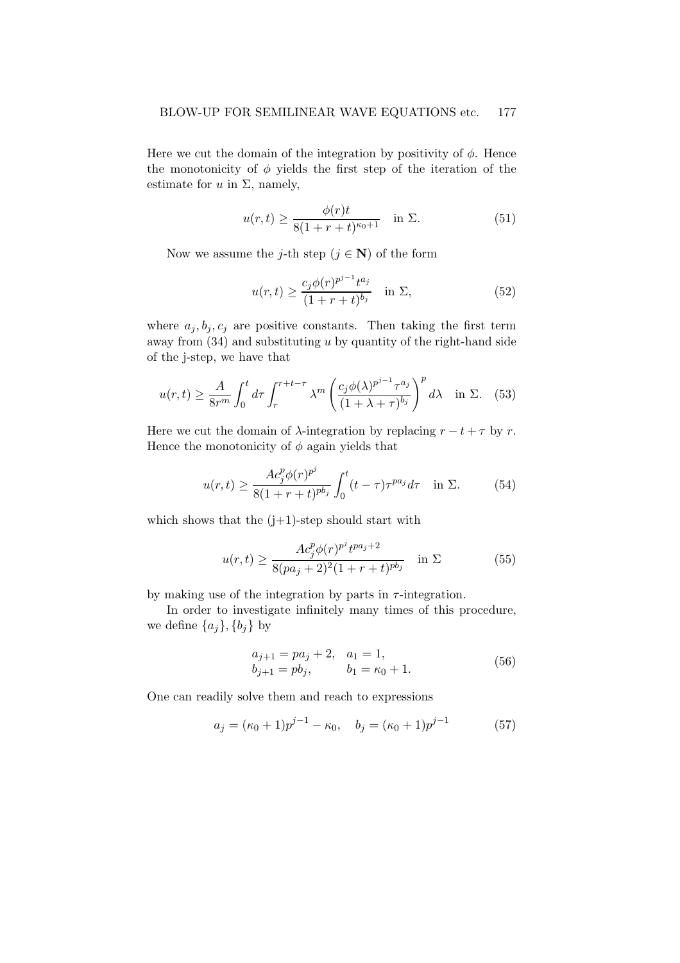Here we cut the domain of the integration by positivity of  $\phi$ . Hence the monotonicity of  $\phi$  yields the first step of the iteration of the estimate for  $u$  in  $\Sigma$ , namely,

$$
u(r,t) \ge \frac{\phi(r)t}{8(1+r+t)^{\kappa_0+1}} \quad \text{in } \Sigma.
$$
 (51)

Now we assume the j-th step  $(j \in \mathbb{N})$  of the form

$$
u(r,t) \ge \frac{c_j \phi(r)^{p^{j-1}} t^{a_j}}{(1+r+t)^{b_j}} \quad \text{in } \Sigma,
$$
 (52)

where  $a_j, b_j, c_j$  are positive constants. Then taking the first term away from  $(34)$  and substituting u by quantity of the right-hand side of the j-step, we have that

$$
u(r,t) \ge \frac{A}{8r^m} \int_0^t d\tau \int_r^{r+t-\tau} \lambda^m \left(\frac{c_j \phi(\lambda)^{p^{j-1}} \tau^{a_j}}{(1+\lambda+\tau)^{b_j}}\right)^p d\lambda \quad \text{in } \Sigma. \tag{53}
$$

Here we cut the domain of  $\lambda$ -integration by replacing  $r - t + \tau$  by r. Hence the monotonicity of  $\phi$  again yields that

$$
u(r,t) \ge \frac{Ac_j^p \phi(r)^{p^j}}{8(1+r+t)^{p b_j}} \int_0^t (t-\tau)\tau^{p a_j} d\tau \quad \text{in } \Sigma.
$$
 (54)

which shows that the  $(j+1)$ -step should start with

$$
u(r,t) \ge \frac{Ac_j^p \phi(r)^{p^j} t^{pa_j+2}}{8(pa_j+2)^2(1+r+t)^{pb_j}} \quad \text{in } \Sigma
$$
 (55)

by making use of the integration by parts in  $\tau$ -integration.

In order to investigate infinitely many times of this procedure, we define  $\{a_i\}$ ,  $\{b_i\}$  by

$$
a_{j+1} = pa_j + 2, \quad a_1 = 1,b_{j+1} = pb_j, \qquad b_1 = \kappa_0 + 1.
$$
 (56)

One can readily solve them and reach to expressions

$$
a_j = (\kappa_0 + 1)p^{j-1} - \kappa_0, \quad b_j = (\kappa_0 + 1)p^{j-1}
$$
 (57)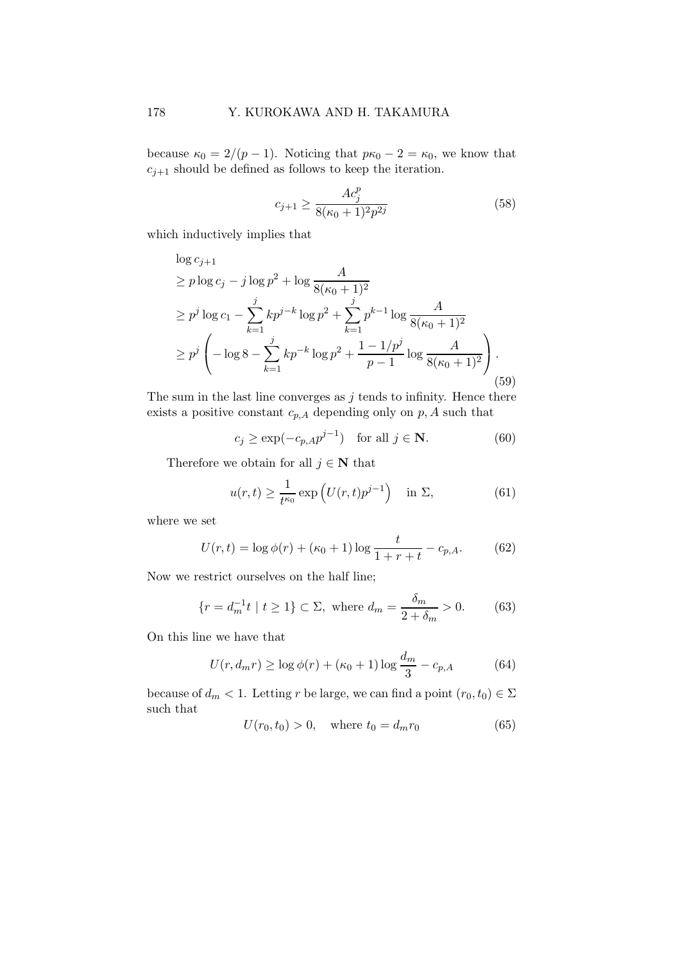because  $\kappa_0 = 2/(p-1)$ . Noticing that  $p\kappa_0 - 2 = \kappa_0$ , we know that  $c_{j+1}$  should be defined as follows to keep the iteration.

$$
c_{j+1} \ge \frac{Ac_j^p}{8(\kappa_0 + 1)^2 p^{2j}}\tag{58}
$$

which inductively implies that

$$
\log c_{j+1} \n\geq p \log c_j - j \log p^2 + \log \frac{A}{8(\kappa_0 + 1)^2} \n\geq p^j \log c_1 - \sum_{k=1}^j k p^{j-k} \log p^2 + \sum_{k=1}^j p^{k-1} \log \frac{A}{8(\kappa_0 + 1)^2} \n\geq p^j \left( -\log 8 - \sum_{k=1}^j k p^{-k} \log p^2 + \frac{1 - 1/p^j}{p - 1} \log \frac{A}{8(\kappa_0 + 1)^2} \right).
$$
\n(59)

The sum in the last line converges as  $j$  tends to infinity. Hence there exists a positive constant  $c_{p,A}$  depending only on  $p,A$  such that

$$
c_j \ge \exp(-c_{p,A}p^{j-1}) \quad \text{for all } j \in \mathbf{N}.\tag{60}
$$

Therefore we obtain for all  $j \in \mathbb{N}$  that

$$
u(r,t) \ge \frac{1}{t^{\kappa_0}} \exp\left(U(r,t)p^{j-1}\right) \quad \text{in } \Sigma,
$$
\n(61)

where we set

$$
U(r,t) = \log \phi(r) + (\kappa_0 + 1) \log \frac{t}{1 + r + t} - c_{p,A}.
$$
 (62)

Now we restrict ourselves on the half line;

$$
\{r = d_m^{-1}t \mid t \ge 1\} \subset \Sigma, \text{ where } d_m = \frac{\delta_m}{2 + \delta_m} > 0. \tag{63}
$$

On this line we have that

$$
U(r, d_m r) \ge \log \phi(r) + (\kappa_0 + 1) \log \frac{d_m}{3} - c_{p,A}
$$
 (64)

because of  $d_m < 1$ . Letting r be large, we can find a point  $(r_0, t_0) \in \Sigma$ such that

$$
U(r_0, t_0) > 0, \quad \text{where } t_0 = d_m r_0 \tag{65}
$$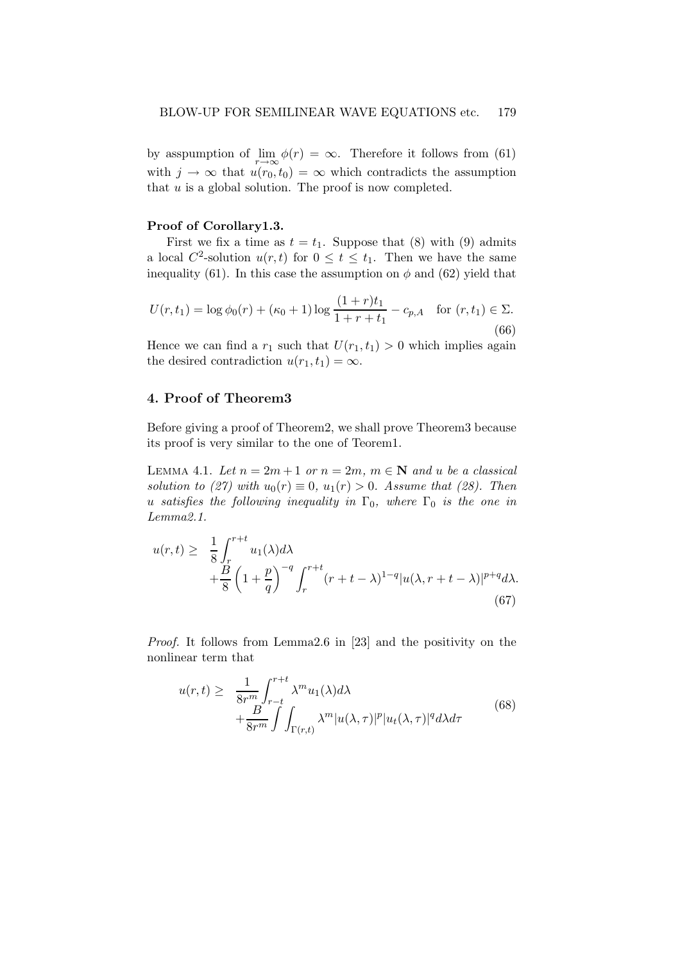by asspumption of  $\lim_{r \to \infty} \phi(r) = \infty$ . Therefore it follows from (61) with  $j \to \infty$  that  $u(r_0, t_0) = \infty$  which contradicts the assumption that  $u$  is a global solution. The proof is now completed.

#### Proof of Corollary1.3.

First we fix a time as  $t = t_1$ . Suppose that (8) with (9) admits a local  $C^2$ -solution  $u(r,t)$  for  $0 \le t \le t_1$ . Then we have the same inequality (61). In this case the assumption on  $\phi$  and (62) yield that

$$
U(r, t_1) = \log \phi_0(r) + (\kappa_0 + 1) \log \frac{(1+r)t_1}{1+r+t_1} - c_{p,A} \quad \text{for } (r, t_1) \in \Sigma.
$$
\n(66)

Hence we can find a  $r_1$  such that  $U(r_1,t_1) > 0$  which implies again the desired contradiction  $u(r_1,t_1) = \infty$ .

## 4. Proof of Theorem3

Before giving a proof of Theorem2, we shall prove Theorem3 because its proof is very similar to the one of Teorem1.

LEMMA 4.1. Let  $n = 2m + 1$  or  $n = 2m$ ,  $m \in \mathbb{N}$  and u be a classical solution to (27) with  $u_0(r) \equiv 0$ ,  $u_1(r) > 0$ . Assume that (28). Then u satisfies the following inequality in  $\Gamma_0$ , where  $\Gamma_0$  is the one in Lemma2.1.

$$
u(r,t) \geq \frac{1}{8} \int_{r}^{r+t} u_1(\lambda) d\lambda + \frac{B}{8} \left(1 + \frac{p}{q}\right)^{-q} \int_{r}^{r+t} (r+t-\lambda)^{1-q} |u(\lambda, r+t-\lambda)|^{p+q} d\lambda.
$$
\n(67)

Proof. It follows from Lemma2.6 in [23] and the positivity on the nonlinear term that

$$
u(r,t) \geq \frac{1}{8r^m} \int_{r-t}^{r+t} \lambda^m u_1(\lambda) d\lambda + \frac{B}{8r^m} \int \int_{\Gamma(r,t)} \lambda^m |u(\lambda,\tau)|^p |u_t(\lambda,\tau)|^q d\lambda d\tau
$$
 (68)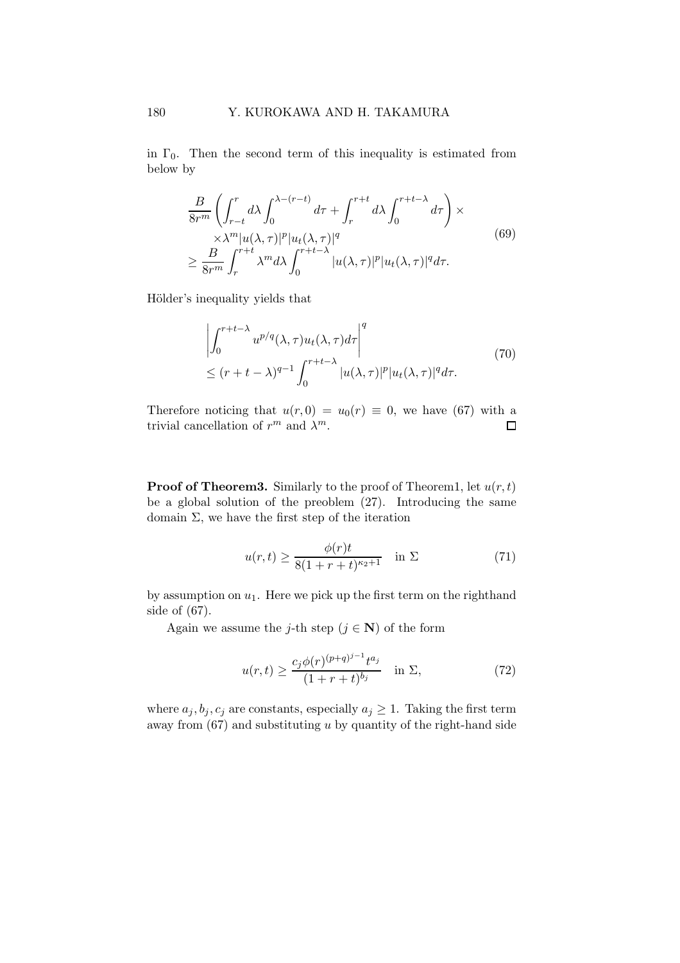in  $\Gamma_0$ . Then the second term of this inequality is estimated from below by

$$
\frac{B}{8r^m} \left( \int_{r-t}^r d\lambda \int_0^{\lambda - (r-t)} d\tau + \int_r^{r+t} d\lambda \int_0^{r+t-\lambda} d\tau \right) \times
$$
  
\n
$$
\times \lambda^m |u(\lambda, \tau)|^p |u_t(\lambda, \tau)|^q
$$
  
\n
$$
\geq \frac{B}{8r^m} \int_r^{r+t} \lambda^m d\lambda \int_0^{r+t-\lambda} |u(\lambda, \tau)|^p |u_t(\lambda, \tau)|^q d\tau.
$$
\n(69)

Hölder's inequality yields that

$$
\left| \int_0^{r+t-\lambda} u^{p/q}(\lambda, \tau) u_t(\lambda, \tau) d\tau \right|^q
$$
  
 
$$
\leq (r+t-\lambda)^{q-1} \int_0^{r+t-\lambda} |u(\lambda, \tau)|^p |u_t(\lambda, \tau)|^q d\tau.
$$
 (70)

Therefore noticing that  $u(r, 0) = u_0(r) \equiv 0$ , we have (67) with a trivial cancellation of  $r^m$  and  $\lambda^m$ . trivial cancellation of  $r^m$  and  $\lambda^m$ .

**Proof of Theorem3.** Similarly to the proof of Theorem1, let  $u(r, t)$ be a global solution of the preoblem (27). Introducing the same domain  $\Sigma$ , we have the first step of the iteration

$$
u(r,t) \ge \frac{\phi(r)t}{8(1+r+t)^{\kappa_2+1}} \quad \text{in } \Sigma \tag{71}
$$

by assumption on  $u_1$ . Here we pick up the first term on the righthand side of (67).

Again we assume the j-th step  $(j \in \mathbb{N})$  of the form

$$
u(r,t) \ge \frac{c_j \phi(r)^{(p+q)^{j-1}} t^{a_j}}{(1+r+t)^{b_j}} \quad \text{in } \Sigma,
$$
 (72)

where  $a_j, b_j, c_j$  are constants, especially  $a_j \geq 1$ . Taking the first term away from  $(67)$  and substituting u by quantity of the right-hand side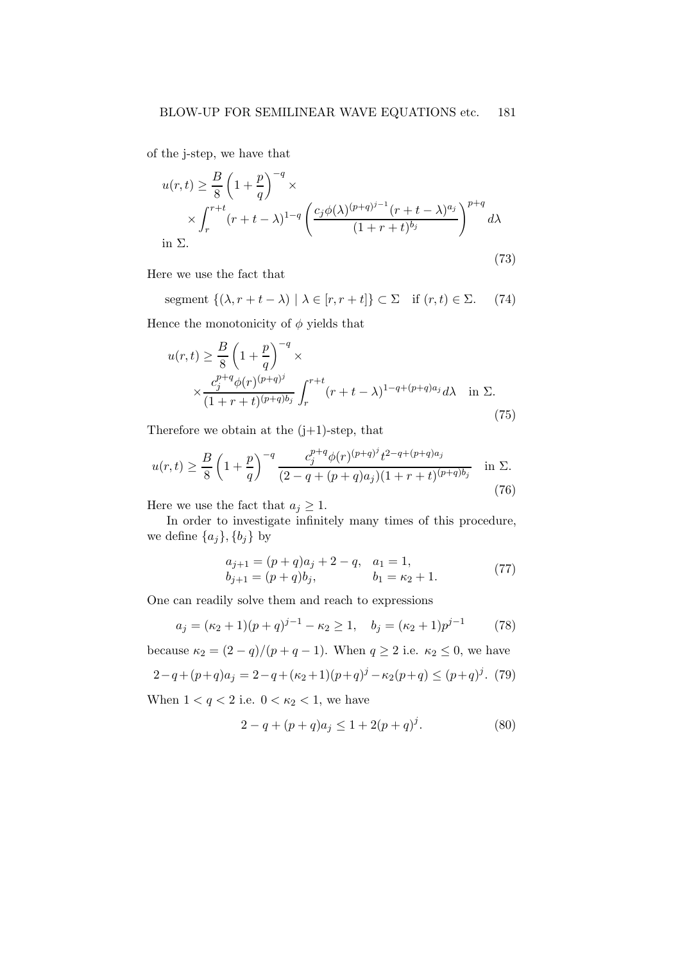of the j-step, we have that

$$
u(r,t) \geq \frac{B}{8} \left( 1 + \frac{p}{q} \right)^{-q} \times \frac{\left( 1 + \frac{p}{q} \right)^{-q}}{(r+t-\lambda)^{1-q}} \left( \frac{c_j \phi(\lambda)^{(p+q)^{j-1}} (r+t-\lambda)^{a_j}}{(1+r+t)^{b_j}} \right)^{p+q} d\lambda
$$
  
in  $\Sigma$ . (73)

Here we use the fact that

segment  $\{(\lambda, r + t - \lambda) \mid \lambda \in [r, r + t] \} \subset \Sigma$  if  $(r, t) \in \Sigma$ . (74)

Hence the monotonicity of  $\phi$  yields that

$$
u(r,t) \geq \frac{B}{8} \left( 1 + \frac{p}{q} \right)^{-q} \times \times \frac{c_j^{p+q} \phi(r)^{(p+q)^j}}{(1+r+t)^{(p+q)b_j}} \int_r^{r+t} (r+t-\lambda)^{1-q+(p+q)a_j} d\lambda \quad \text{in } \Sigma. \tag{75}
$$

Therefore we obtain at the  $(j+1)$ -step, that

$$
u(r,t) \ge \frac{B}{8} \left( 1 + \frac{p}{q} \right)^{-q} \frac{c_j^{p+q} \phi(r)^{(p+q)^j} t^{2-q+(p+q)a_j}}{(2-q+(p+q)a_j)(1+r+t)^{(p+q)b_j}} \quad \text{in } \Sigma. \tag{76}
$$

Here we use the fact that  $a_j \geq 1$ .

In order to investigate infinitely many times of this procedure, we define  $\{a_j\}$ ,  $\{b_j\}$  by

$$
a_{j+1} = (p+q)a_j + 2 - q, \quad a_1 = 1,b_{j+1} = (p+q)b_j, \qquad b_1 = \kappa_2 + 1.
$$
 (77)

One can readily solve them and reach to expressions

$$
a_j = (\kappa_2 + 1)(p+q)^{j-1} - \kappa_2 \ge 1, \quad b_j = (\kappa_2 + 1)p^{j-1} \tag{78}
$$

because  $\kappa_2 = (2 - q)/(p + q - 1)$ . When  $q \ge 2$  i.e.  $\kappa_2 \le 0$ , we have

$$
2 - q + (p+q)a_j = 2 - q + (\kappa_2 + 1)(p+q)^j - \kappa_2(p+q) \le (p+q)^j. \tag{79}
$$

When  $1 < q < 2$  i.e.  $0 < \kappa_2 < 1$ , we have

$$
2 - q + (p + q)a_j \le 1 + 2(p + q)^j. \tag{80}
$$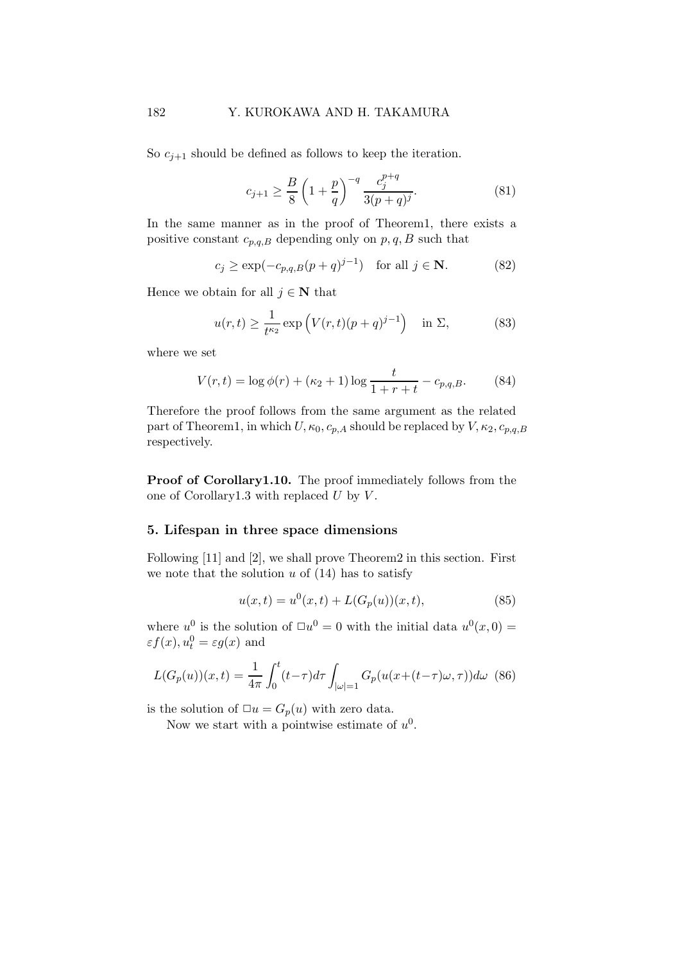So  $c_{j+1}$  should be defined as follows to keep the iteration.

$$
c_{j+1} \ge \frac{B}{8} \left( 1 + \frac{p}{q} \right)^{-q} \frac{c_j^{p+q}}{3(p+q)^j}.
$$
 (81)

In the same manner as in the proof of Theorem1, there exists a positive constant  $c_{p,q,B}$  depending only on  $p,q,B$  such that

$$
c_j \ge \exp(-c_{p,q,B}(p+q)^{j-1}) \quad \text{for all } j \in \mathbf{N}.\tag{82}
$$

Hence we obtain for all  $j \in \mathbb{N}$  that

$$
u(r,t) \ge \frac{1}{t^{\kappa_2}} \exp\left(V(r,t)(p+q)^{j-1}\right) \quad \text{in } \Sigma,
$$
 (83)

where we set

$$
V(r,t) = \log \phi(r) + (\kappa_2 + 1) \log \frac{t}{1 + r + t} - c_{p,q,B}.
$$
 (84)

Therefore the proof follows from the same argument as the related part of Theorem1, in which  $U, \kappa_0, c_{p,A}$  should be replaced by  $V, \kappa_2, c_{p,q,B}$ respectively.

Proof of Corollary1.10. The proof immediately follows from the one of Corollary1.3 with replaced  $U$  by  $V$ .

#### 5. Lifespan in three space dimensions

Following [11] and [2], we shall prove Theorem2 in this section. First we note that the solution  $u$  of  $(14)$  has to satisfy

$$
u(x,t) = u^{0}(x,t) + L(G_p(u))(x,t),
$$
\n(85)

where  $u^0$  is the solution of  $\Box u^0 = 0$  with the initial data  $u^0(x,0) =$  $\varepsilon f(x), u_t^0 = \varepsilon g(x)$  and

$$
L(G_p(u))(x,t) = \frac{1}{4\pi} \int_0^t (t-\tau)d\tau \int_{|\omega|=1} G_p(u(x+(t-\tau)\omega,\tau))d\omega \tag{86}
$$

is the solution of  $\Box u = G_p(u)$  with zero data.

Now we start with a pointwise estimate of  $u^0$ .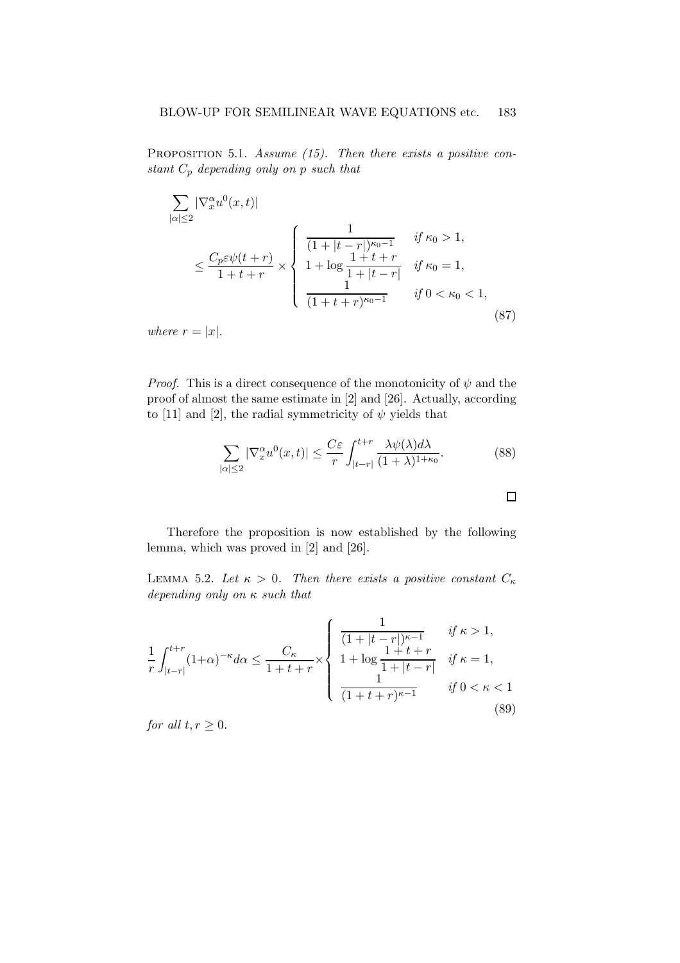PROPOSITION 5.1. Assume  $(15)$ . Then there exists a positive constant  $C_p$  depending only on p such that

$$
\sum_{|\alpha| \le 2} |\nabla_x^{\alpha} u^0(x, t)|
$$
\n
$$
\le \frac{C_p \varepsilon \psi(t+r)}{1+t+r} \times \begin{cases} \frac{1}{(1+|t-r|)^{\kappa_0-1}} & \text{if } \kappa_0 > 1, \\ 1+\log\frac{1+t+r}{1+|t-r|} & \text{if } \kappa_0 = 1, \\ \frac{1}{(1+t+r)^{\kappa_0-1}} & \text{if } 0 < \kappa_0 < 1, \end{cases}
$$
\n
$$
(87)
$$

where  $r = |x|$ .

*Proof.* This is a direct consequence of the monotonicity of  $\psi$  and the proof of almost the same estimate in [2] and [26]. Actually, according to [11] and [2], the radial symmetricity of  $\psi$  yields that

$$
\sum_{|\alpha| \le 2} |\nabla_x^{\alpha} u^0(x, t)| \le \frac{C\varepsilon}{r} \int_{|t-r|}^{t+r} \frac{\lambda \psi(\lambda) d\lambda}{(1+\lambda)^{1+\kappa_0}}.
$$
 (88)

Therefore the proposition is now established by the following lemma, which was proved in [2] and [26].

LEMMA 5.2. Let  $\kappa > 0$ . Then there exists a positive constant  $C_{\kappa}$ depending only on  $\kappa$  such that

$$
\frac{1}{r} \int_{|t-r|}^{t+r} (1+\alpha)^{-\kappa} d\alpha \le \frac{C_{\kappa}}{1+t+r} \times \begin{cases} \frac{1}{(1+|t-r|)^{\kappa-1}} & \text{if } \kappa > 1, \\ 1+\log\frac{1+t+r}{1+|t-r|} & \text{if } \kappa = 1, \\ \frac{1}{(1+t+r)^{\kappa-1}} & \text{if } 0 < \kappa < 1 \end{cases} \tag{89}
$$

for all  $t, r \geq 0$ .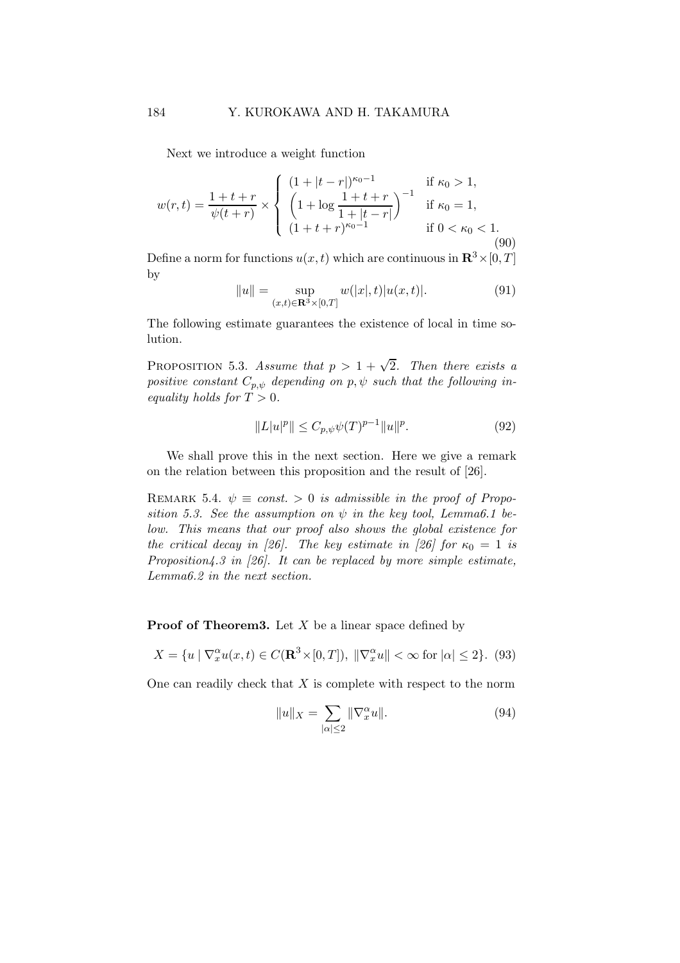Next we introduce a weight function

$$
w(r,t) = \frac{1+t+r}{\psi(t+r)} \times \begin{cases} (1+|t-r|)^{\kappa_0-1} & \text{if } \kappa_0 > 1, \\ \left(1 + \log \frac{1+t+r}{1+|t-r|}\right)^{-1} & \text{if } \kappa_0 = 1, \\ (1+t+r)^{\kappa_0-1} & \text{if } 0 < \kappa_0 < 1. \end{cases}
$$
(90)

Define a norm for functions  $u(x,t)$  which are continuous in  $\mathbb{R}^3 \times [0, T]$ by

$$
||u|| = \sup_{(x,t)\in\mathbf{R}^3\times[0,T]} w(|x|,t)|u(x,t)|.
$$
 (91)

The following estimate guarantees the existence of local in time solution.

PROPOSITION 5.3. Assume that  $p > 1 + \sqrt{2}$ . Then there exists a positive constant  $C_{p,\psi}$  depending on p,  $\psi$  such that the following inequality holds for  $T > 0$ .

$$
||L|u|^{p}|| \leq C_{p,\psi}\psi(T)^{p-1}||u||^{p}.
$$
\n(92)

We shall prove this in the next section. Here we give a remark on the relation between this proposition and the result of [26].

REMARK 5.4.  $\psi \equiv const. > 0$  is admissible in the proof of Proposition 5.3. See the assumption on  $\psi$  in the key tool, Lemma6.1 below. This means that our proof also shows the global existence for the critical decay in [26]. The key estimate in [26] for  $\kappa_0 = 1$  is Proposition4.3 in  $[26]$ . It can be replaced by more simple estimate, Lemma6.2 in the next section.

**Proof of Theorem3.** Let  $X$  be a linear space defined by

$$
X = \{u \mid \nabla_x^{\alpha} u(x, t) \in C(\mathbf{R}^3 \times [0, T]), \ \|\nabla_x^{\alpha} u\| < \infty \text{ for } |\alpha| \le 2\}. \tag{93}
$$

One can readily check that  $X$  is complete with respect to the norm

$$
||u||_X = \sum_{|\alpha| \le 2} ||\nabla_x^{\alpha} u||. \tag{94}
$$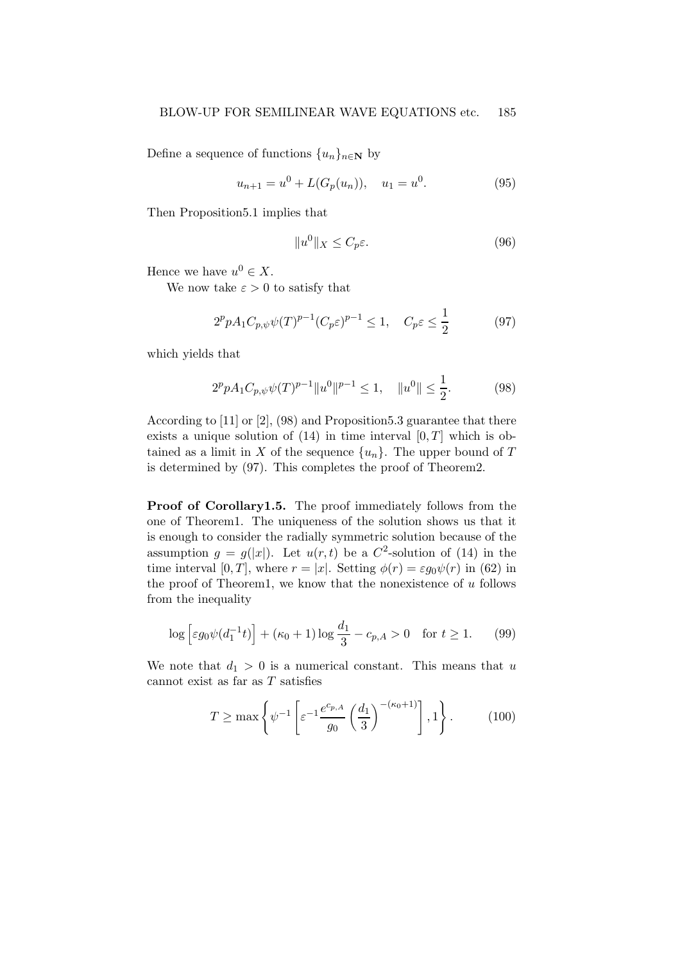Define a sequence of functions  $\{u_n\}_{n\in\mathbb{N}}$  by

$$
u_{n+1} = u^0 + L(G_p(u_n)), \quad u_1 = u^0. \tag{95}
$$

Then Proposition5.1 implies that

$$
||u^0||_X \le C_p \varepsilon. \tag{96}
$$

Hence we have  $u^0 \in X$ .

We now take  $\varepsilon > 0$  to satisfy that

$$
2^p p A_1 C_{p,\psi} \psi(T)^{p-1} (C_p \varepsilon)^{p-1} \le 1, \quad C_p \varepsilon \le \frac{1}{2}
$$
 (97)

which yields that

$$
2^{p} p A_{1} C_{p,\psi} \psi(T)^{p-1} \|u^{0}\|^{p-1} \leq 1, \quad \|u^{0}\| \leq \frac{1}{2}.
$$
 (98)

According to [11] or [2], (98) and Proposition5.3 guarantee that there exists a unique solution of  $(14)$  in time interval  $[0, T]$  which is obtained as a limit in X of the sequence  $\{u_n\}$ . The upper bound of T is determined by (97). This completes the proof of Theorem2.

Proof of Corollary1.5. The proof immediately follows from the one of Theorem1. The uniqueness of the solution shows us that it is enough to consider the radially symmetric solution because of the assumption  $g = g(|x|)$ . Let  $u(r, t)$  be a  $C^2$ -solution of (14) in the time interval [0, T], where  $r = |x|$ . Setting  $\phi(r) = \varepsilon g_0 \psi(r)$  in (62) in the proof of Theorem1, we know that the nonexistence of  $u$  follows from the inequality

$$
\log \left[ \varepsilon g_0 \psi(d_1^{-1}t) \right] + (\kappa_0 + 1) \log \frac{d_1}{3} - c_{p,A} > 0 \quad \text{for } t \ge 1. \tag{99}
$$

We note that  $d_1 > 0$  is a numerical constant. This means that u cannot exist as far as  $T$  satisfies

$$
T \ge \max\left\{\psi^{-1}\left[\varepsilon^{-1}\frac{e^{c_{p,A}}}{g_0}\left(\frac{d_1}{3}\right)^{-(\kappa_0+1)}\right], 1\right\}.
$$
 (100)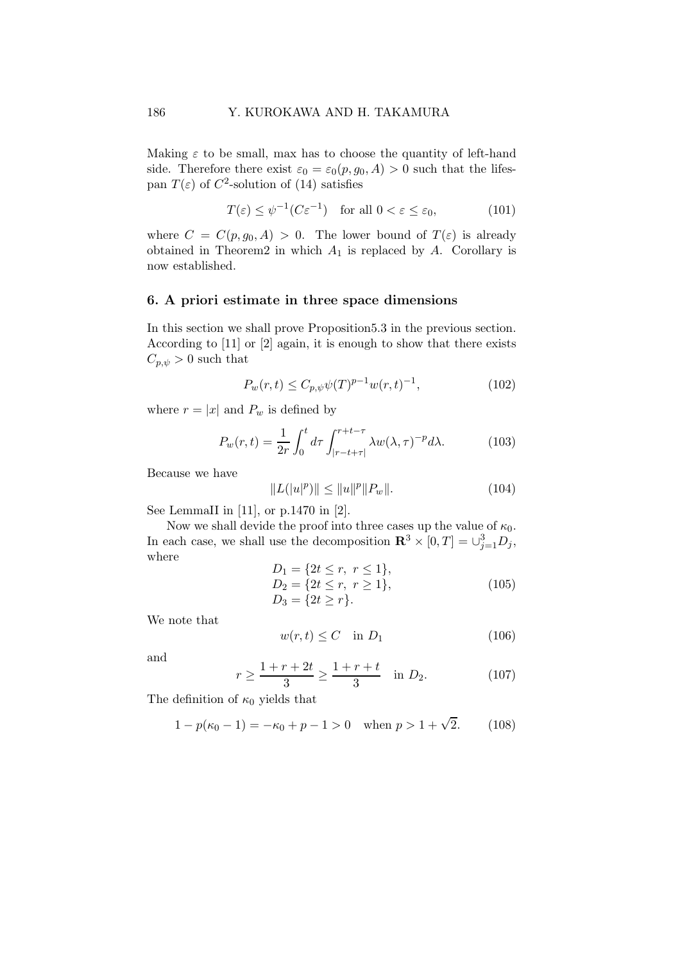Making  $\varepsilon$  to be small, max has to choose the quantity of left-hand side. Therefore there exist  $\varepsilon_0 = \varepsilon_0(p, q_0, A) > 0$  such that the lifespan  $T(\varepsilon)$  of  $C^2$ -solution of (14) satisfies

$$
T(\varepsilon) \le \psi^{-1}(C\varepsilon^{-1}) \quad \text{for all } 0 < \varepsilon \le \varepsilon_0,\tag{101}
$$

where  $C = C(p, g_0, A) > 0$ . The lower bound of  $T(\varepsilon)$  is already obtained in Theorem2 in which  $A_1$  is replaced by  $A$ . Corollary is now established.

# 6. A priori estimate in three space dimensions

In this section we shall prove Proposition5.3 in the previous section. According to [11] or [2] again, it is enough to show that there exists  $C_{p,\psi} > 0$  such that

$$
P_w(r,t) \le C_{p,\psi}\psi(T)^{p-1}w(r,t)^{-1},\tag{102}
$$

where  $r = |x|$  and  $P_w$  is defined by

$$
P_w(r,t) = \frac{1}{2r} \int_0^t d\tau \int_{|r-t+\tau|}^{r+t-\tau} \lambda w(\lambda,\tau)^{-p} d\lambda.
$$
 (103)

Because we have

$$
||L(|u|^p)|| \le ||u||^p ||P_w||. \tag{104}
$$

See LemmaII in [11], or p.1470 in [2].

Now we shall devide the proof into three cases up the value of  $\kappa_0$ . In each case, we shall use the decomposition  $\mathbb{R}^3 \times [0,T] = \cup_{j=1}^3 D_j$ , where

$$
D_1 = \{2t \le r, r \le 1\},
$$
  
\n
$$
D_2 = \{2t \le r, r \ge 1\},
$$
  
\n
$$
D_3 = \{2t \ge r\}.
$$
  
\n(105)

We note that

$$
w(r,t) \le C \quad \text{in } D_1 \tag{106}
$$

and

$$
r \ge \frac{1+r+2t}{3} \ge \frac{1+r+t}{3} \quad \text{in } D_2. \tag{107}
$$

The definition of  $\kappa_0$  yields that

$$
1 - p(\kappa_0 - 1) = -\kappa_0 + p - 1 > 0 \quad \text{when } p > 1 + \sqrt{2}.
$$
 (108)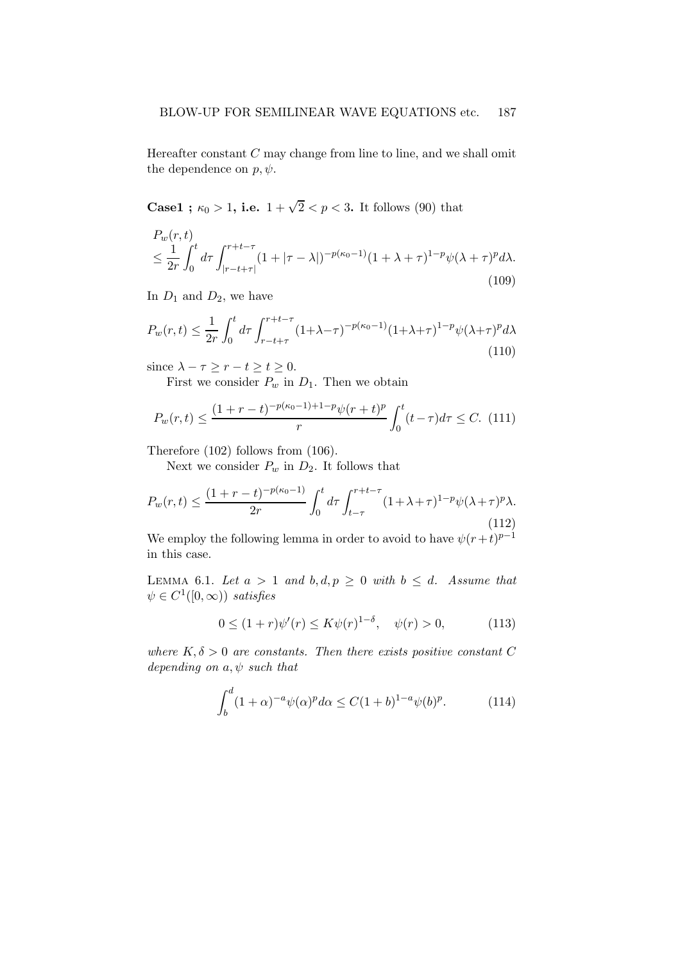Hereafter constant  $C$  may change from line to line, and we shall omit the dependence on  $p, \psi$ .

**Case1**;  $\kappa_0 > 1$ , i.e.  $1 + \sqrt{2} < p < 3$ . It follows (90) that

$$
P_w(r,t)
$$
  
\n
$$
\leq \frac{1}{2r} \int_0^t d\tau \int_{|r-t+\tau|}^{r+t-\tau} (1+|\tau-\lambda|)^{-p(\kappa_0-1)} (1+\lambda+\tau)^{1-p} \psi(\lambda+\tau)^p d\lambda.
$$
\n(109)

In  $D_1$  and  $D_2$ , we have

$$
P_w(r,t) \le \frac{1}{2r} \int_0^t d\tau \int_{r-t+\tau}^{r+t-\tau} (1+\lambda-\tau)^{-p(\kappa_0-1)} (1+\lambda+\tau)^{1-p} \psi(\lambda+\tau)^p d\lambda
$$
\n(110)

since  $\lambda - \tau \ge r - t \ge t \ge 0$ .

First we consider  $P_w$  in  $D_1$ . Then we obtain

$$
P_w(r,t) \le \frac{(1+r-t)^{-p(\kappa_0-1)+1-p}\psi(r+t)^p}{r} \int_0^t (t-\tau)d\tau \le C. \tag{111}
$$

Therefore (102) follows from (106).

Next we consider  $P_w$  in  $D_2$ . It follows that

$$
P_w(r,t) \le \frac{(1+r-t)^{-p(\kappa_0-1)}}{2r} \int_0^t d\tau \int_{t-\tau}^{r+t-\tau} (1+\lambda+\tau)^{1-p} \psi(\lambda+\tau)^p \lambda. \tag{112}
$$

We employ the following lemma in order to avoid to have  $\psi(r+t)^{p-1}$ in this case.

LEMMA 6.1. Let  $a > 1$  and  $b, d, p \ge 0$  with  $b \le d$ . Assume that  $\psi \in C^1([0,\infty))$  satisfies

$$
0 \le (1+r)\psi'(r) \le K\psi(r)^{1-\delta}, \quad \psi(r) > 0,
$$
 (113)

where  $K, \delta > 0$  are constants. Then there exists positive constant C depending on  $a, \psi$  such that

$$
\int_{b}^{d} (1+\alpha)^{-a} \psi(\alpha)^{p} d\alpha \le C(1+b)^{1-a} \psi(b)^{p}.
$$
 (114)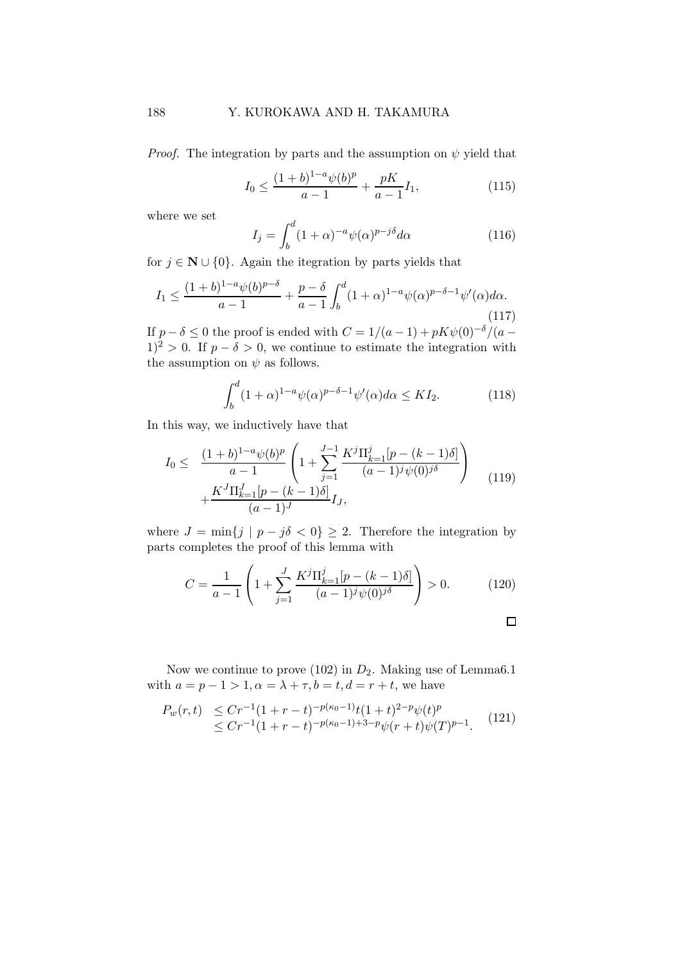*Proof.* The integration by parts and the assumption on  $\psi$  yield that

$$
I_0 \le \frac{(1+b)^{1-a}\psi(b)^p}{a-1} + \frac{pK}{a-1}I_1,\tag{115}
$$

where we set

$$
I_j = \int_b^d (1+\alpha)^{-a} \psi(\alpha)^{p-j\delta} d\alpha \tag{116}
$$

for  $j \in \mathbb{N} \cup \{0\}$ . Again the itegration by parts yields that

$$
I_1 \le \frac{(1+b)^{1-a}\psi(b)^{p-\delta}}{a-1} + \frac{p-\delta}{a-1} \int_b^d (1+\alpha)^{1-a}\psi(\alpha)^{p-\delta-1}\psi'(\alpha)d\alpha.
$$
\n(117)

If  $p - \delta \leq 0$  the proof is ended with  $C = 1/(a-1) + pK\psi(0)^{-\delta}/(a-1)$  $1)^2 > 0$ . If  $p - \delta > 0$ , we continue to estimate the integration with the assumption on  $\psi$  as follows.

$$
\int_{b}^{d} (1+\alpha)^{1-a} \psi(\alpha)^{p-\delta-1} \psi'(\alpha) d\alpha \le K I_2.
$$
 (118)

In this way, we inductively have that

$$
I_0 \leq \frac{(1+b)^{1-a}\psi(b)^p}{a-1} \left(1 + \sum_{j=1}^{J-1} \frac{K^j \Pi_{k=1}^j [p - (k-1)\delta]}{(a-1)^j \psi(0)^{j\delta}} \right) + \frac{K^J \Pi_{k=1}^J [p - (k-1)\delta]}{(a-1)^J} I_J,
$$
\n(119)

where  $J = \min\{j \mid p - j\delta < 0\} \geq 2$ . Therefore the integration by parts completes the proof of this lemma with

$$
C = \frac{1}{a-1} \left( 1 + \sum_{j=1}^{J} \frac{K^j \Pi_{k=1}^j [p - (k-1)\delta]}{(a-1)^j \psi(0)^{j\delta}} \right) > 0.
$$
 (120)

 $\Box$ 

Now we continue to prove (102) in  $D_2$ . Making use of Lemma6.1 with  $a = p - 1 > 1, \alpha = \lambda + \tau, b = t, d = r + t$ , we have

$$
P_w(r,t) \leq Cr^{-1}(1+r-t)^{-p(\kappa_0-1)}t(1+t)^{2-p}\psi(t)^p
$$
  
 
$$
\leq Cr^{-1}(1+r-t)^{-p(\kappa_0-1)+3-p}\psi(r+t)\psi(T)^{p-1}.
$$
 (121)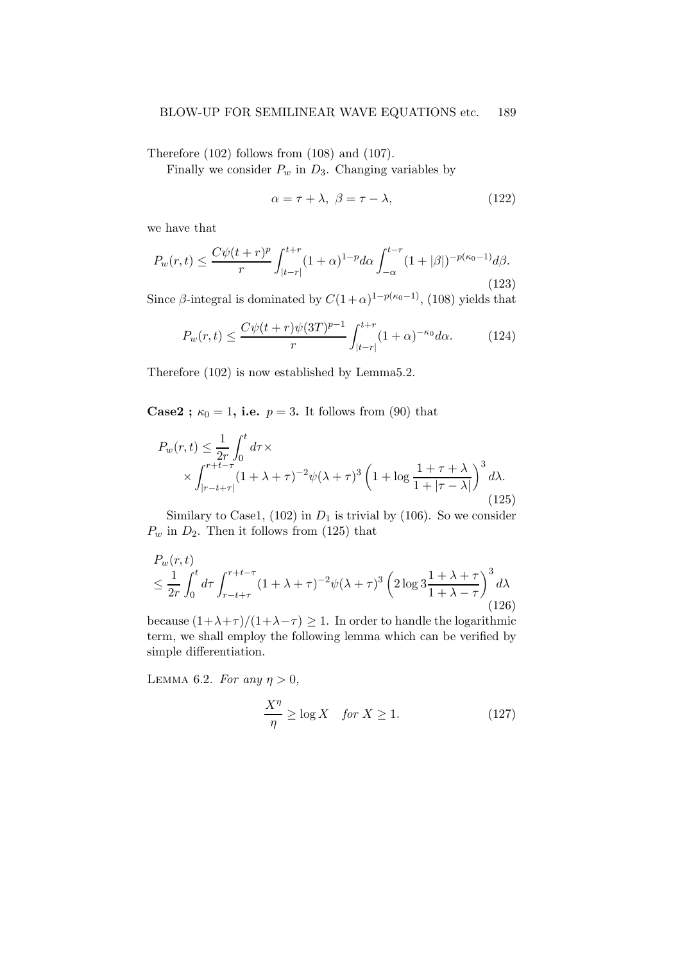Therefore (102) follows from (108) and (107).

Finally we consider  $P_w$  in  $D_3$ . Changing variables by

$$
\alpha = \tau + \lambda, \ \beta = \tau - \lambda,\tag{122}
$$

we have that

$$
P_w(r,t) \le \frac{C\psi(t+r)^p}{r} \int_{|t-r|}^{t+r} (1+\alpha)^{1-p} d\alpha \int_{-\alpha}^{t-r} (1+|\beta|)^{-p(\kappa_0-1)} d\beta.
$$
\n(123)

Since  $\beta$ -integral is dominated by  $C(1+\alpha)^{1-p(\kappa_0-1)}$ , (108) yields that

$$
P_w(r,t) \le \frac{C\psi(t+r)\psi(3T)^{p-1}}{r} \int_{|t-r|}^{t+r} (1+\alpha)^{-\kappa_0} d\alpha.
$$
 (124)

Therefore (102) is now established by Lemma5.2.

**Case2**;  $\kappa_0 = 1$ , i.e.  $p = 3$ . It follows from (90) that

$$
P_w(r,t) \leq \frac{1}{2r} \int_0^t d\tau \times \times \int_{|r-t+\tau|}^{r+t-\tau} (1+\lambda+\tau)^{-2} \psi(\lambda+\tau)^3 \left(1+\log\frac{1+\tau+\lambda}{1+|\tau-\lambda|}\right)^3 d\lambda.
$$
\n(125)

Similary to Case1, (102) in  $D_1$  is trivial by (106). So we consider  $P_w$  in  $D_2$ . Then it follows from (125) that

$$
P_w(r,t)
$$
  
\n
$$
\leq \frac{1}{2r} \int_0^t d\tau \int_{r-t+\tau}^{r+t-\tau} (1+\lambda+\tau)^{-2} \psi(\lambda+\tau)^3 \left(2\log 3 \frac{1+\lambda+\tau}{1+\lambda-\tau}\right)^3 d\lambda
$$
\n(126)

because  $(1+\lambda+\tau)/(1+\lambda-\tau) \geq 1$ . In order to handle the logarithmic term, we shall employ the following lemma which can be verified by simple differentiation.

LEMMA 6.2. For any  $\eta > 0$ ,

$$
\frac{X^{\eta}}{\eta} \ge \log X \quad \text{for } X \ge 1. \tag{127}
$$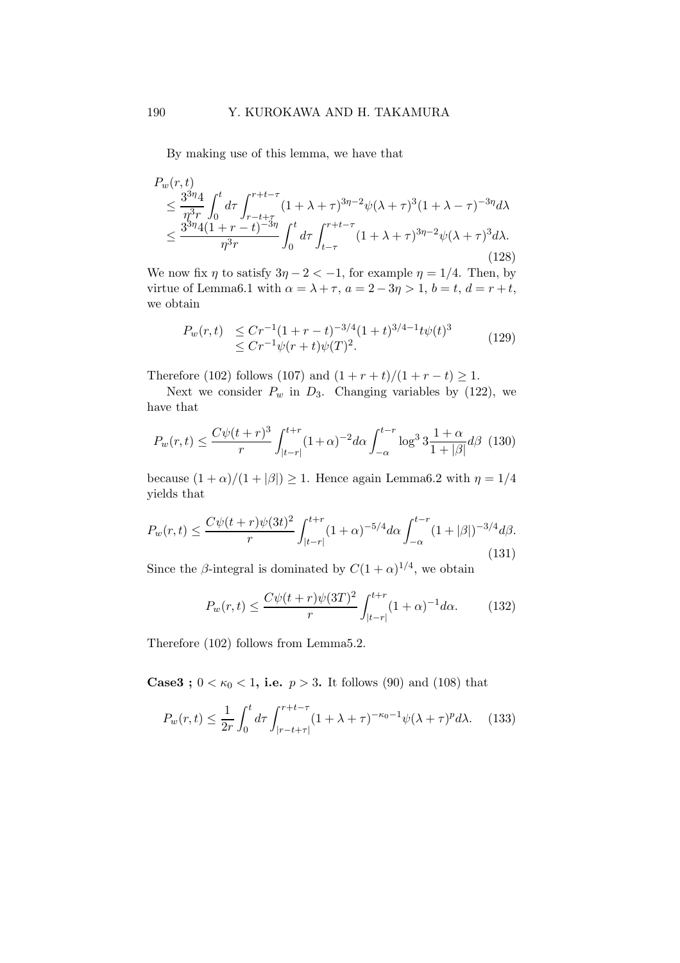By making use of this lemma, we have that

$$
P_w(r,t) \le \frac{3^{3\eta}4}{\eta^3 r} \int_0^t d\tau \int_{r-t+\tau}^{r+t-\tau} (1+\lambda+\tau)^{3\eta-2} \psi(\lambda+\tau)^3 (1+\lambda-\tau)^{-3\eta} d\lambda \le \frac{3^{3\eta}4(1+r-t)^{-3\eta}}{\eta^3 r} \int_0^t d\tau \int_{t-\tau}^{r+t-\tau} (1+\lambda+\tau)^{3\eta-2} \psi(\lambda+\tau)^3 d\lambda.
$$
\n(128)

We now fix  $\eta$  to satisfy  $3\eta - 2 < -1$ , for example  $\eta = 1/4$ . Then, by virtue of Lemma6.1 with  $\alpha = \lambda + \tau$ ,  $a = 2 - 3\eta > 1$ ,  $b = t$ ,  $d = r + t$ , we obtain

$$
P_w(r,t) \leq Cr^{-1}(1+r-t)^{-3/4}(1+t)^{3/4-1}t\psi(t)^3
$$
  
\n
$$
\leq Cr^{-1}\psi(r+t)\psi(T)^2.
$$
\n(129)

Therefore (102) follows (107) and  $(1 + r + t)/(1 + r - t) \ge 1$ .

Next we consider  $P_w$  in  $D_3$ . Changing variables by (122), we have that

$$
P_w(r,t) \le \frac{C\psi(t+r)^3}{r} \int_{|t-r|}^{t+r} (1+\alpha)^{-2} d\alpha \int_{-\alpha}^{t-r} \log^3 3\frac{1+\alpha}{1+|\beta|} d\beta \tag{130}
$$

because  $(1 + \alpha)/(1 + |\beta|) \ge 1$ . Hence again Lemma6.2 with  $\eta = 1/4$ yields that

$$
P_w(r,t) \le \frac{C\psi(t+r)\psi(3t)^2}{r} \int_{|t-r|}^{t+r} (1+\alpha)^{-5/4} d\alpha \int_{-\alpha}^{t-r} (1+|\beta|)^{-3/4} d\beta.
$$
\n(131)

Since the  $\beta$ -integral is dominated by  $C(1+\alpha)^{1/4}$ , we obtain

$$
P_w(r,t) \le \frac{C\psi(t+r)\psi(3T)^2}{r} \int_{|t-r|}^{t+r} (1+\alpha)^{-1} d\alpha.
$$
 (132)

Therefore (102) follows from Lemma5.2.

**Case3**;  $0 < \kappa_0 < 1$ , i.e.  $p > 3$ . It follows (90) and (108) that

$$
P_w(r,t) \le \frac{1}{2r} \int_0^t d\tau \int_{|r-t+\tau|}^{r+t-\tau} (1+\lambda+\tau)^{-\kappa_0-1} \psi(\lambda+\tau)^p d\lambda. \tag{133}
$$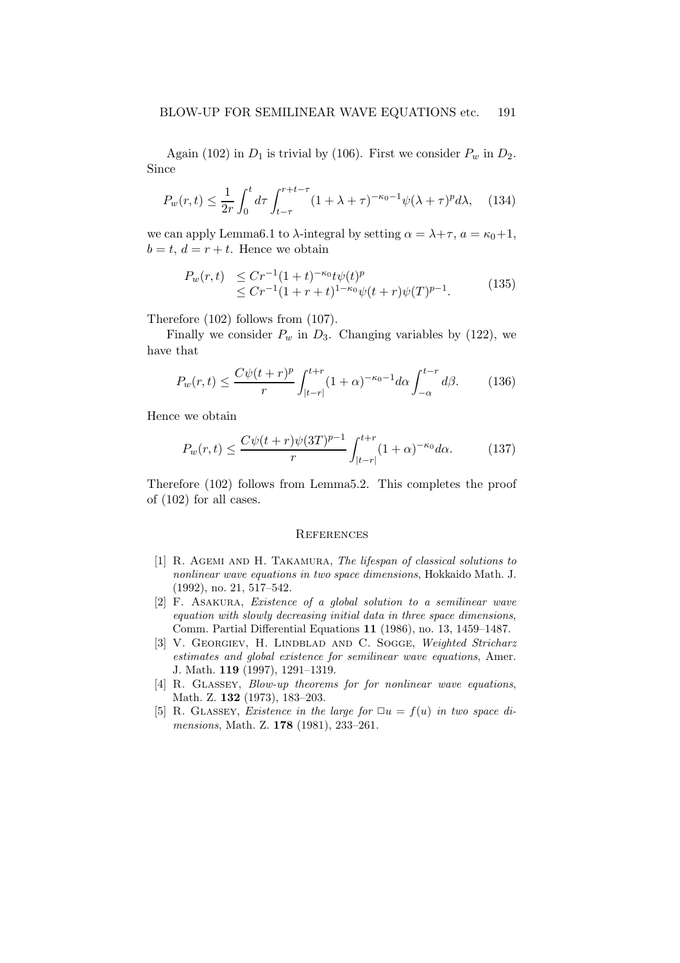Again (102) in  $D_1$  is trivial by (106). First we consider  $P_w$  in  $D_2$ . Since

$$
P_w(r,t) \le \frac{1}{2r} \int_0^t d\tau \int_{t-\tau}^{r+t-\tau} (1+\lambda+\tau)^{-\kappa_0-1} \psi(\lambda+\tau)^p d\lambda, \quad (134)
$$

we can apply Lemma6.1 to  $\lambda$ -integral by setting  $\alpha = \lambda + \tau$ ,  $a = \kappa_0 + 1$ ,  $b = t, d = r + t$ . Hence we obtain

$$
P_w(r,t) \leq Cr^{-1}(1+t)^{-\kappa_0}t\psi(t)^p \leq Cr^{-1}(1+r+t)^{1-\kappa_0}\psi(t+r)\psi(T)^{p-1}.
$$
 (135)

Therefore (102) follows from (107).

Finally we consider  $P_w$  in  $D_3$ . Changing variables by (122), we have that

$$
P_w(r,t) \le \frac{C\psi(t+r)^p}{r} \int_{|t-r|}^{t+r} (1+\alpha)^{-\kappa_0-1} d\alpha \int_{-\alpha}^{t-r} d\beta. \tag{136}
$$

Hence we obtain

$$
P_w(r,t) \le \frac{C\psi(t+r)\psi(3T)^{p-1}}{r} \int_{|t-r|}^{t+r} (1+\alpha)^{-\kappa_0} d\alpha.
$$
 (137)

Therefore (102) follows from Lemma5.2. This completes the proof of (102) for all cases.

#### **REFERENCES**

- [1] R. AGEMI AND H. TAKAMURA, The lifespan of classical solutions to nonlinear wave equations in two space dimensions, Hokkaido Math. J. (1992), no. 21, 517–542.
- [2] F. Asakura, Existence of a global solution to a semilinear wave equation with slowly decreasing initial data in three space dimensions, Comm. Partial Differential Equations 11 (1986), no. 13, 1459–1487.
- [3] V. GEORGIEV, H. LINDBLAD AND C. SOGGE, Weighted Stricharz estimates and global existence for semilinear wave equations, Amer. J. Math. 119 (1997), 1291–1319.
- [4] R. GLASSEY, *Blow-up theorems for for nonlinear wave equations*, Math. Z. 132 (1973), 183–203.
- [5] R. GLASSEY, Existence in the large for  $\Box u = f(u)$  in two space dimensions, Math. Z. **178** (1981), 233-261.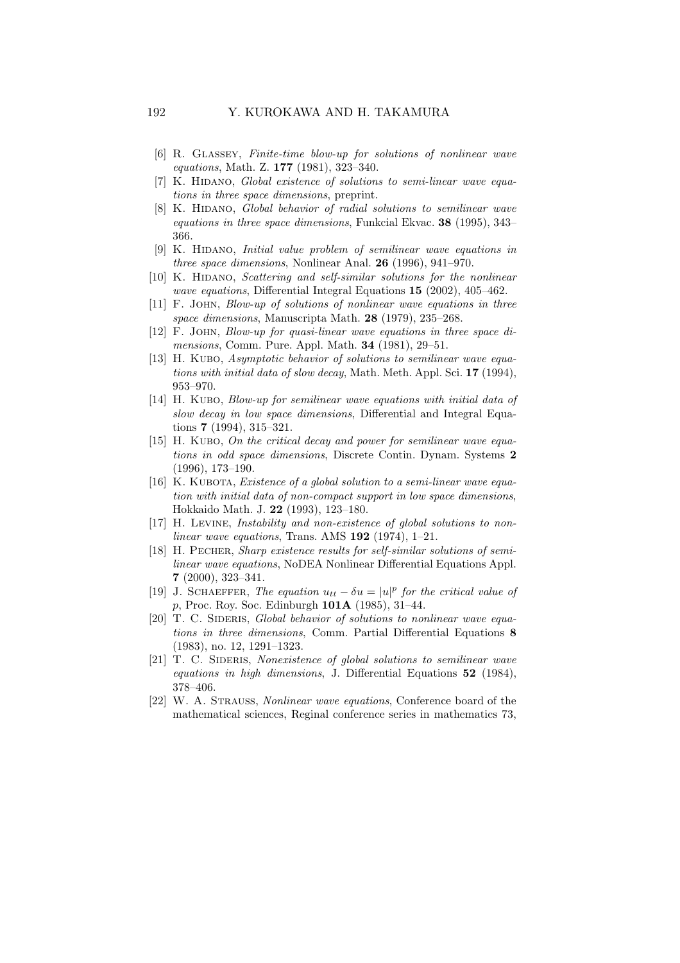- [6] R. Glassey, Finite-time blow-up for solutions of nonlinear wave equations, Math. Z. 177 (1981), 323–340.
- [7] K. HIDANO, Global existence of solutions to semi-linear wave equations in three space dimensions, preprint.
- [8] K. HIDANO, Global behavior of radial solutions to semilinear wave equations in three space dimensions, Funkcial Ekvac. 38 (1995), 343– 366.
- [9] K. HIDANO, *Initial value problem of semilinear wave equations in* three space dimensions, Nonlinear Anal. 26 (1996), 941–970.
- [10] K. HIDANO, Scattering and self-similar solutions for the nonlinear wave equations, Differential Integral Equations 15 (2002), 405–462.
- [11] F. John, Blow-up of solutions of nonlinear wave equations in three space dimensions, Manuscripta Math. 28 (1979), 235–268.
- [12] F. John, Blow-up for quasi-linear wave equations in three space dimensions, Comm. Pure. Appl. Math. 34 (1981), 29–51.
- [13] H. KUBO, Asymptotic behavior of solutions to semilinear wave equations with initial data of slow decay, Math. Meth. Appl. Sci. 17 (1994), 953–970.
- [14] H. Kubo, Blow-up for semilinear wave equations with initial data of slow decay in low space dimensions, Differential and Integral Equations 7 (1994), 315–321.
- [15] H. KUBO, On the critical decay and power for semilinear wave equations in odd space dimensions, Discrete Contin. Dynam. Systems 2 (1996), 173–190.
- [16] K. KUBOTA, *Existence of a global solution to a semi-linear wave equa*tion with initial data of non-compact support in low space dimensions, Hokkaido Math. J. 22 (1993), 123–180.
- [17] H. Levine, Instability and non-existence of global solutions to nonlinear wave equations, Trans. AMS  $192$  (1974), 1–21.
- [18] H. Pecher, Sharp existence results for self-similar solutions of semilinear wave equations, NoDEA Nonlinear Differential Equations Appl. 7 (2000), 323–341.
- [19] J. SCHAEFFER, The equation  $u_{tt} \delta u = |u|^p$  for the critical value of p, Proc. Roy. Soc. Edinburgh 101A (1985), 31–44.
- [20] T. C. SIDERIS, Global behavior of solutions to nonlinear wave equations in three dimensions, Comm. Partial Differential Equations 8 (1983), no. 12, 1291–1323.
- [21] T. C. SIDERIS, Nonexistence of global solutions to semilinear wave equations in high dimensions, J. Differential Equations 52 (1984), 378–406.
- [22] W. A. Strauss, Nonlinear wave equations, Conference board of the mathematical sciences, Reginal conference series in mathematics 73,